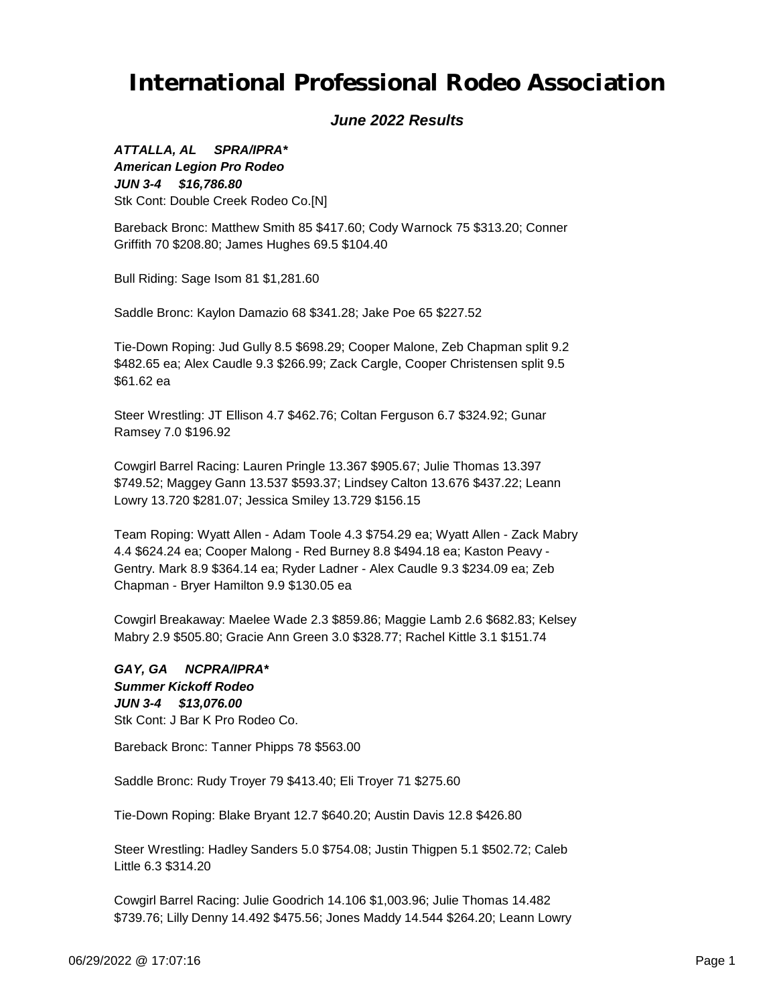### *June 2022 Results*

*JUN 3-4 \$16,786.80 ATTALLA, AL SPRA/IPRA\* American Legion Pro Rodeo* Stk Cont: Double Creek Rodeo Co.[N]

Bareback Bronc: Matthew Smith 85 \$417.60; Cody Warnock 75 \$313.20; Conner Griffith 70 \$208.80; James Hughes 69.5 \$104.40

Bull Riding: Sage Isom 81 \$1,281.60

Saddle Bronc: Kaylon Damazio 68 \$341.28; Jake Poe 65 \$227.52

Tie-Down Roping: Jud Gully 8.5 \$698.29; Cooper Malone, Zeb Chapman split 9.2 \$482.65 ea; Alex Caudle 9.3 \$266.99; Zack Cargle, Cooper Christensen split 9.5 \$61.62 ea

Steer Wrestling: JT Ellison 4.7 \$462.76; Coltan Ferguson 6.7 \$324.92; Gunar Ramsey 7.0 \$196.92

Cowgirl Barrel Racing: Lauren Pringle 13.367 \$905.67; Julie Thomas 13.397 \$749.52; Maggey Gann 13.537 \$593.37; Lindsey Calton 13.676 \$437.22; Leann Lowry 13.720 \$281.07; Jessica Smiley 13.729 \$156.15

Team Roping: Wyatt Allen - Adam Toole 4.3 \$754.29 ea; Wyatt Allen - Zack Mabry 4.4 \$624.24 ea; Cooper Malong - Red Burney 8.8 \$494.18 ea; Kaston Peavy - Gentry. Mark 8.9 \$364.14 ea; Ryder Ladner - Alex Caudle 9.3 \$234.09 ea; Zeb Chapman - Bryer Hamilton 9.9 \$130.05 ea

Cowgirl Breakaway: Maelee Wade 2.3 \$859.86; Maggie Lamb 2.6 \$682.83; Kelsey Mabry 2.9 \$505.80; Gracie Ann Green 3.0 \$328.77; Rachel Kittle 3.1 \$151.74

*JUN 3-4 \$13,076.00 GAY, GA NCPRA/IPRA\* Summer Kickoff Rodeo* Stk Cont: J Bar K Pro Rodeo Co.

Bareback Bronc: Tanner Phipps 78 \$563.00

Saddle Bronc: Rudy Troyer 79 \$413.40; Eli Troyer 71 \$275.60

Tie-Down Roping: Blake Bryant 12.7 \$640.20; Austin Davis 12.8 \$426.80

Steer Wrestling: Hadley Sanders 5.0 \$754.08; Justin Thigpen 5.1 \$502.72; Caleb Little 6.3 \$314.20

Cowgirl Barrel Racing: Julie Goodrich 14.106 \$1,003.96; Julie Thomas 14.482 \$739.76; Lilly Denny 14.492 \$475.56; Jones Maddy 14.544 \$264.20; Leann Lowry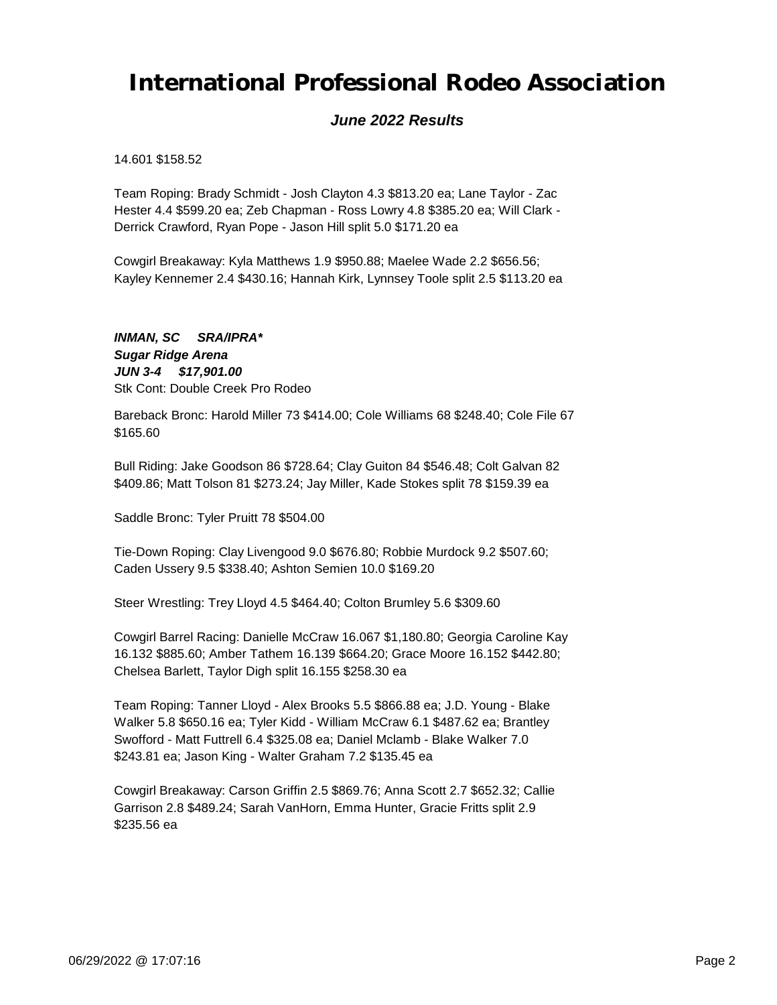### *June 2022 Results*

14.601 \$158.52

Team Roping: Brady Schmidt - Josh Clayton 4.3 \$813.20 ea; Lane Taylor - Zac Hester 4.4 \$599.20 ea; Zeb Chapman - Ross Lowry 4.8 \$385.20 ea; Will Clark - Derrick Crawford, Ryan Pope - Jason Hill split 5.0 \$171.20 ea

Cowgirl Breakaway: Kyla Matthews 1.9 \$950.88; Maelee Wade 2.2 \$656.56; Kayley Kennemer 2.4 \$430.16; Hannah Kirk, Lynnsey Toole split 2.5 \$113.20 ea

*JUN 3-4 \$17,901.00 INMAN, SC SRA/IPRA\* Sugar Ridge Arena* Stk Cont: Double Creek Pro Rodeo

Bareback Bronc: Harold Miller 73 \$414.00; Cole Williams 68 \$248.40; Cole File 67 \$165.60

Bull Riding: Jake Goodson 86 \$728.64; Clay Guiton 84 \$546.48; Colt Galvan 82 \$409.86; Matt Tolson 81 \$273.24; Jay Miller, Kade Stokes split 78 \$159.39 ea

Saddle Bronc: Tyler Pruitt 78 \$504.00

Tie-Down Roping: Clay Livengood 9.0 \$676.80; Robbie Murdock 9.2 \$507.60; Caden Ussery 9.5 \$338.40; Ashton Semien 10.0 \$169.20

Steer Wrestling: Trey Lloyd 4.5 \$464.40; Colton Brumley 5.6 \$309.60

Cowgirl Barrel Racing: Danielle McCraw 16.067 \$1,180.80; Georgia Caroline Kay 16.132 \$885.60; Amber Tathem 16.139 \$664.20; Grace Moore 16.152 \$442.80; Chelsea Barlett, Taylor Digh split 16.155 \$258.30 ea

Team Roping: Tanner Lloyd - Alex Brooks 5.5 \$866.88 ea; J.D. Young - Blake Walker 5.8 \$650.16 ea; Tyler Kidd - William McCraw 6.1 \$487.62 ea; Brantley Swofford - Matt Futtrell 6.4 \$325.08 ea; Daniel Mclamb - Blake Walker 7.0 \$243.81 ea; Jason King - Walter Graham 7.2 \$135.45 ea

Cowgirl Breakaway: Carson Griffin 2.5 \$869.76; Anna Scott 2.7 \$652.32; Callie Garrison 2.8 \$489.24; Sarah VanHorn, Emma Hunter, Gracie Fritts split 2.9 \$235.56 ea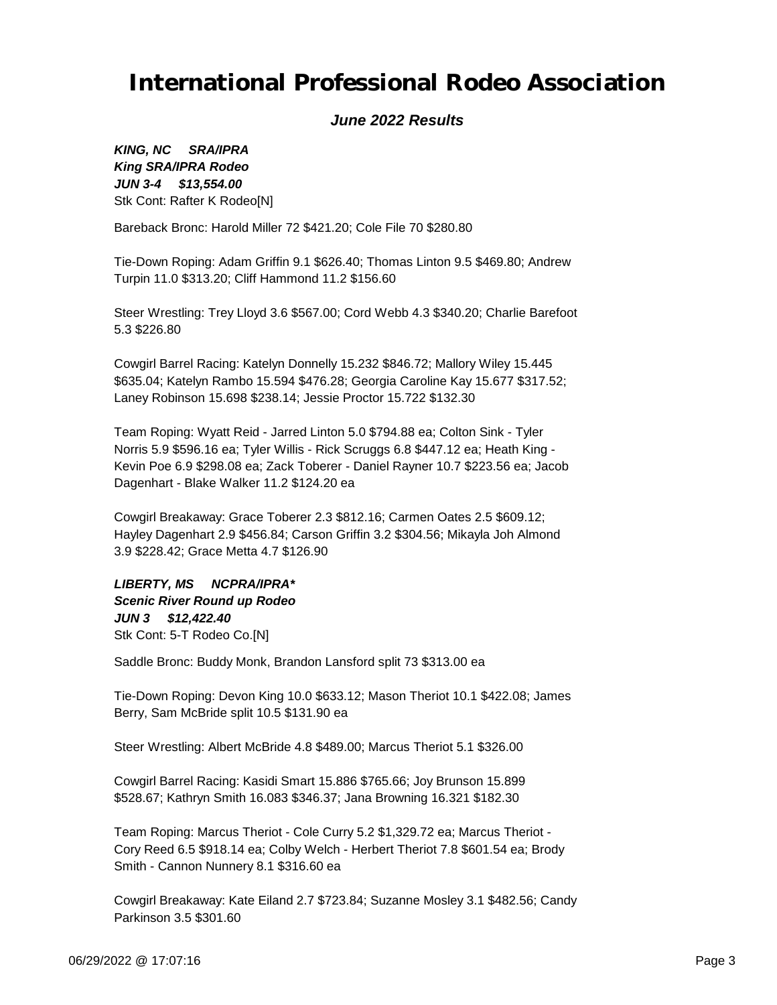### *June 2022 Results*

*JUN 3-4 \$13,554.00 KING, NC SRA/IPRA King SRA/IPRA Rodeo* Stk Cont: Rafter K Rodeo[N]

Bareback Bronc: Harold Miller 72 \$421.20; Cole File 70 \$280.80

Tie-Down Roping: Adam Griffin 9.1 \$626.40; Thomas Linton 9.5 \$469.80; Andrew Turpin 11.0 \$313.20; Cliff Hammond 11.2 \$156.60

Steer Wrestling: Trey Lloyd 3.6 \$567.00; Cord Webb 4.3 \$340.20; Charlie Barefoot 5.3 \$226.80

Cowgirl Barrel Racing: Katelyn Donnelly 15.232 \$846.72; Mallory Wiley 15.445 \$635.04; Katelyn Rambo 15.594 \$476.28; Georgia Caroline Kay 15.677 \$317.52; Laney Robinson 15.698 \$238.14; Jessie Proctor 15.722 \$132.30

Team Roping: Wyatt Reid - Jarred Linton 5.0 \$794.88 ea; Colton Sink - Tyler Norris 5.9 \$596.16 ea; Tyler Willis - Rick Scruggs 6.8 \$447.12 ea; Heath King - Kevin Poe 6.9 \$298.08 ea; Zack Toberer - Daniel Rayner 10.7 \$223.56 ea; Jacob Dagenhart - Blake Walker 11.2 \$124.20 ea

Cowgirl Breakaway: Grace Toberer 2.3 \$812.16; Carmen Oates 2.5 \$609.12; Hayley Dagenhart 2.9 \$456.84; Carson Griffin 3.2 \$304.56; Mikayla Joh Almond 3.9 \$228.42; Grace Metta 4.7 \$126.90

*JUN 3 \$12,422.40 LIBERTY, MS NCPRA/IPRA\* Scenic River Round up Rodeo* Stk Cont: 5-T Rodeo Co.[N]

Saddle Bronc: Buddy Monk, Brandon Lansford split 73 \$313.00 ea

Tie-Down Roping: Devon King 10.0 \$633.12; Mason Theriot 10.1 \$422.08; James Berry, Sam McBride split 10.5 \$131.90 ea

Steer Wrestling: Albert McBride 4.8 \$489.00; Marcus Theriot 5.1 \$326.00

Cowgirl Barrel Racing: Kasidi Smart 15.886 \$765.66; Joy Brunson 15.899 \$528.67; Kathryn Smith 16.083 \$346.37; Jana Browning 16.321 \$182.30

Team Roping: Marcus Theriot - Cole Curry 5.2 \$1,329.72 ea; Marcus Theriot - Cory Reed 6.5 \$918.14 ea; Colby Welch - Herbert Theriot 7.8 \$601.54 ea; Brody Smith - Cannon Nunnery 8.1 \$316.60 ea

Cowgirl Breakaway: Kate Eiland 2.7 \$723.84; Suzanne Mosley 3.1 \$482.56; Candy Parkinson 3.5 \$301.60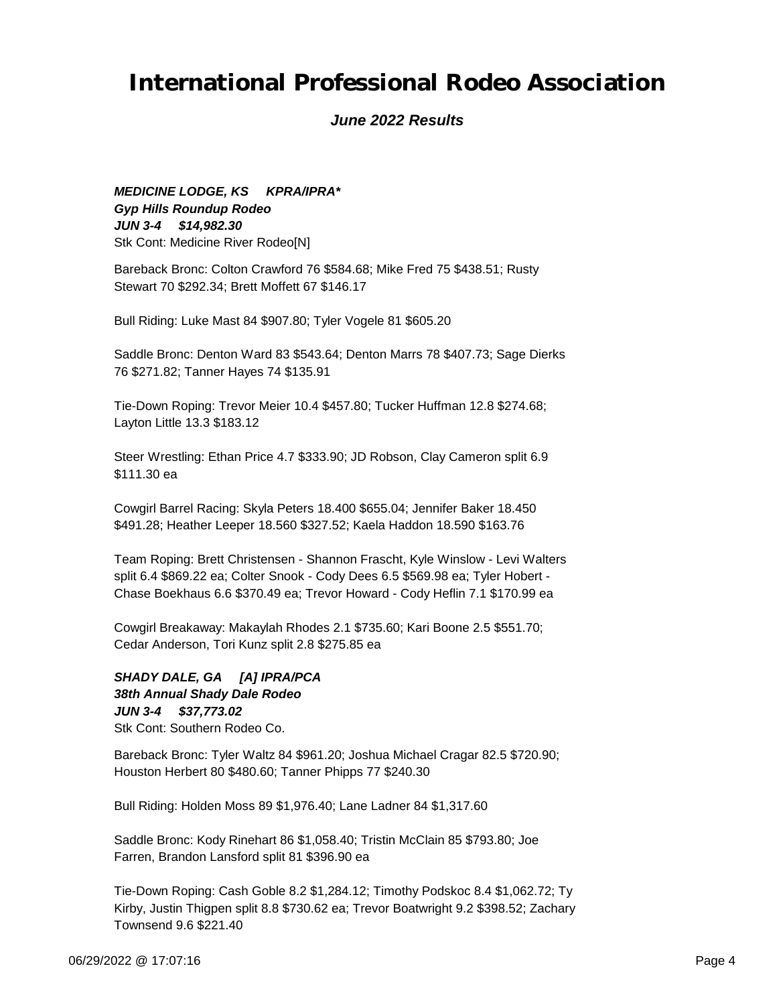#### *June 2022 Results*

*JUN 3-4 \$14,982.30 MEDICINE LODGE, KS KPRA/IPRA\* Gyp Hills Roundup Rodeo* Stk Cont: Medicine River Rodeo[N]

Bareback Bronc: Colton Crawford 76 \$584.68; Mike Fred 75 \$438.51; Rusty Stewart 70 \$292.34; Brett Moffett 67 \$146.17

Bull Riding: Luke Mast 84 \$907.80; Tyler Vogele 81 \$605.20

Saddle Bronc: Denton Ward 83 \$543.64; Denton Marrs 78 \$407.73; Sage Dierks 76 \$271.82; Tanner Hayes 74 \$135.91

Tie-Down Roping: Trevor Meier 10.4 \$457.80; Tucker Huffman 12.8 \$274.68; Layton Little 13.3 \$183.12

Steer Wrestling: Ethan Price 4.7 \$333.90; JD Robson, Clay Cameron split 6.9 \$111.30 ea

Cowgirl Barrel Racing: Skyla Peters 18.400 \$655.04; Jennifer Baker 18.450 \$491.28; Heather Leeper 18.560 \$327.52; Kaela Haddon 18.590 \$163.76

Team Roping: Brett Christensen - Shannon Frascht, Kyle Winslow - Levi Walters split 6.4 \$869.22 ea; Colter Snook - Cody Dees 6.5 \$569.98 ea; Tyler Hobert - Chase Boekhaus 6.6 \$370.49 ea; Trevor Howard - Cody Heflin 7.1 \$170.99 ea

Cowgirl Breakaway: Makaylah Rhodes 2.1 \$735.60; Kari Boone 2.5 \$551.70; Cedar Anderson, Tori Kunz split 2.8 \$275.85 ea

#### *JUN 3-4 \$37,773.02 SHADY DALE, GA [A] IPRA/PCA 38th Annual Shady Dale Rodeo* Stk Cont: Southern Rodeo Co.

Bareback Bronc: Tyler Waltz 84 \$961.20; Joshua Michael Cragar 82.5 \$720.90; Houston Herbert 80 \$480.60; Tanner Phipps 77 \$240.30

Bull Riding: Holden Moss 89 \$1,976.40; Lane Ladner 84 \$1,317.60

Saddle Bronc: Kody Rinehart 86 \$1,058.40; Tristin McClain 85 \$793.80; Joe Farren, Brandon Lansford split 81 \$396.90 ea

Tie-Down Roping: Cash Goble 8.2 \$1,284.12; Timothy Podskoc 8.4 \$1,062.72; Ty Kirby, Justin Thigpen split 8.8 \$730.62 ea; Trevor Boatwright 9.2 \$398.52; Zachary Townsend 9.6 \$221.40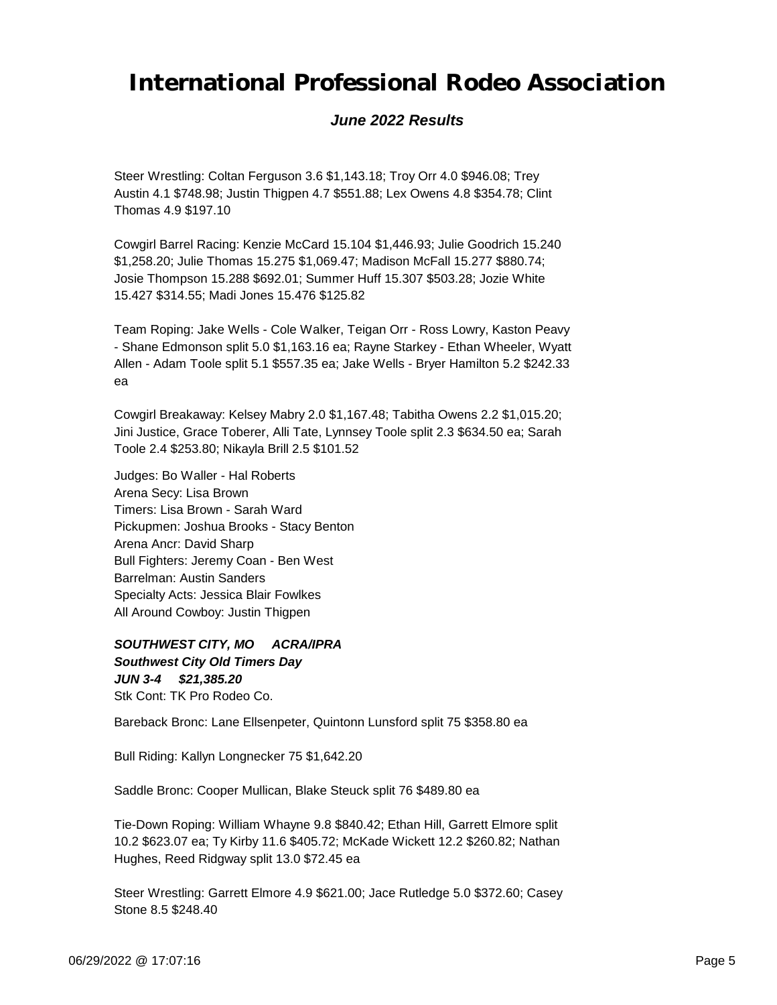### *June 2022 Results*

Steer Wrestling: Coltan Ferguson 3.6 \$1,143.18; Troy Orr 4.0 \$946.08; Trey Austin 4.1 \$748.98; Justin Thigpen 4.7 \$551.88; Lex Owens 4.8 \$354.78; Clint Thomas 4.9 \$197.10

Cowgirl Barrel Racing: Kenzie McCard 15.104 \$1,446.93; Julie Goodrich 15.240 \$1,258.20; Julie Thomas 15.275 \$1,069.47; Madison McFall 15.277 \$880.74; Josie Thompson 15.288 \$692.01; Summer Huff 15.307 \$503.28; Jozie White 15.427 \$314.55; Madi Jones 15.476 \$125.82

Team Roping: Jake Wells - Cole Walker, Teigan Orr - Ross Lowry, Kaston Peavy - Shane Edmonson split 5.0 \$1,163.16 ea; Rayne Starkey - Ethan Wheeler, Wyatt Allen - Adam Toole split 5.1 \$557.35 ea; Jake Wells - Bryer Hamilton 5.2 \$242.33 ea

Cowgirl Breakaway: Kelsey Mabry 2.0 \$1,167.48; Tabitha Owens 2.2 \$1,015.20; Jini Justice, Grace Toberer, Alli Tate, Lynnsey Toole split 2.3 \$634.50 ea; Sarah Toole 2.4 \$253.80; Nikayla Brill 2.5 \$101.52

Judges: Bo Waller - Hal Roberts Arena Secy: Lisa Brown Timers: Lisa Brown - Sarah Ward Pickupmen: Joshua Brooks - Stacy Benton Arena Ancr: David Sharp Bull Fighters: Jeremy Coan - Ben West Barrelman: Austin Sanders Specialty Acts: Jessica Blair Fowlkes All Around Cowboy: Justin Thigpen

*JUN 3-4 \$21,385.20 SOUTHWEST CITY, MO ACRA/IPRA Southwest City Old Timers Day* Stk Cont: TK Pro Rodeo Co.

Bareback Bronc: Lane Ellsenpeter, Quintonn Lunsford split 75 \$358.80 ea

Bull Riding: Kallyn Longnecker 75 \$1,642.20

Saddle Bronc: Cooper Mullican, Blake Steuck split 76 \$489.80 ea

Tie-Down Roping: William Whayne 9.8 \$840.42; Ethan Hill, Garrett Elmore split 10.2 \$623.07 ea; Ty Kirby 11.6 \$405.72; McKade Wickett 12.2 \$260.82; Nathan Hughes, Reed Ridgway split 13.0 \$72.45 ea

Steer Wrestling: Garrett Elmore 4.9 \$621.00; Jace Rutledge 5.0 \$372.60; Casey Stone 8.5 \$248.40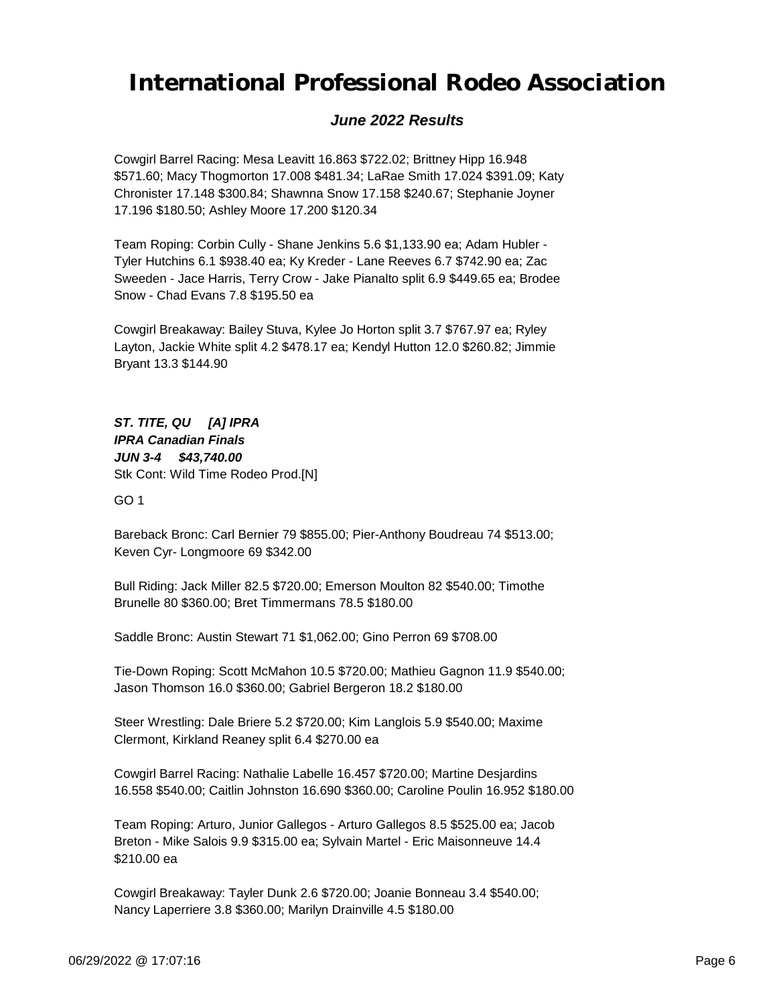### *June 2022 Results*

Cowgirl Barrel Racing: Mesa Leavitt 16.863 \$722.02; Brittney Hipp 16.948 \$571.60; Macy Thogmorton 17.008 \$481.34; LaRae Smith 17.024 \$391.09; Katy Chronister 17.148 \$300.84; Shawnna Snow 17.158 \$240.67; Stephanie Joyner 17.196 \$180.50; Ashley Moore 17.200 \$120.34

Team Roping: Corbin Cully - Shane Jenkins 5.6 \$1,133.90 ea; Adam Hubler - Tyler Hutchins 6.1 \$938.40 ea; Ky Kreder - Lane Reeves 6.7 \$742.90 ea; Zac Sweeden - Jace Harris, Terry Crow - Jake Pianalto split 6.9 \$449.65 ea; Brodee Snow - Chad Evans 7.8 \$195.50 ea

Cowgirl Breakaway: Bailey Stuva, Kylee Jo Horton split 3.7 \$767.97 ea; Ryley Layton, Jackie White split 4.2 \$478.17 ea; Kendyl Hutton 12.0 \$260.82; Jimmie Bryant 13.3 \$144.90

*JUN 3-4 \$43,740.00 ST. TITE, QU [A] IPRA IPRA Canadian Finals* Stk Cont: Wild Time Rodeo Prod.[N]

GO 1

Bareback Bronc: Carl Bernier 79 \$855.00; Pier-Anthony Boudreau 74 \$513.00; Keven Cyr- Longmoore 69 \$342.00

Bull Riding: Jack Miller 82.5 \$720.00; Emerson Moulton 82 \$540.00; Timothe Brunelle 80 \$360.00; Bret Timmermans 78.5 \$180.00

Saddle Bronc: Austin Stewart 71 \$1,062.00; Gino Perron 69 \$708.00

Tie-Down Roping: Scott McMahon 10.5 \$720.00; Mathieu Gagnon 11.9 \$540.00; Jason Thomson 16.0 \$360.00; Gabriel Bergeron 18.2 \$180.00

Steer Wrestling: Dale Briere 5.2 \$720.00; Kim Langlois 5.9 \$540.00; Maxime Clermont, Kirkland Reaney split 6.4 \$270.00 ea

Cowgirl Barrel Racing: Nathalie Labelle 16.457 \$720.00; Martine Desjardins 16.558 \$540.00; Caitlin Johnston 16.690 \$360.00; Caroline Poulin 16.952 \$180.00

Team Roping: Arturo, Junior Gallegos - Arturo Gallegos 8.5 \$525.00 ea; Jacob Breton - Mike Salois 9.9 \$315.00 ea; Sylvain Martel - Eric Maisonneuve 14.4 \$210.00 ea

Cowgirl Breakaway: Tayler Dunk 2.6 \$720.00; Joanie Bonneau 3.4 \$540.00; Nancy Laperriere 3.8 \$360.00; Marilyn Drainville 4.5 \$180.00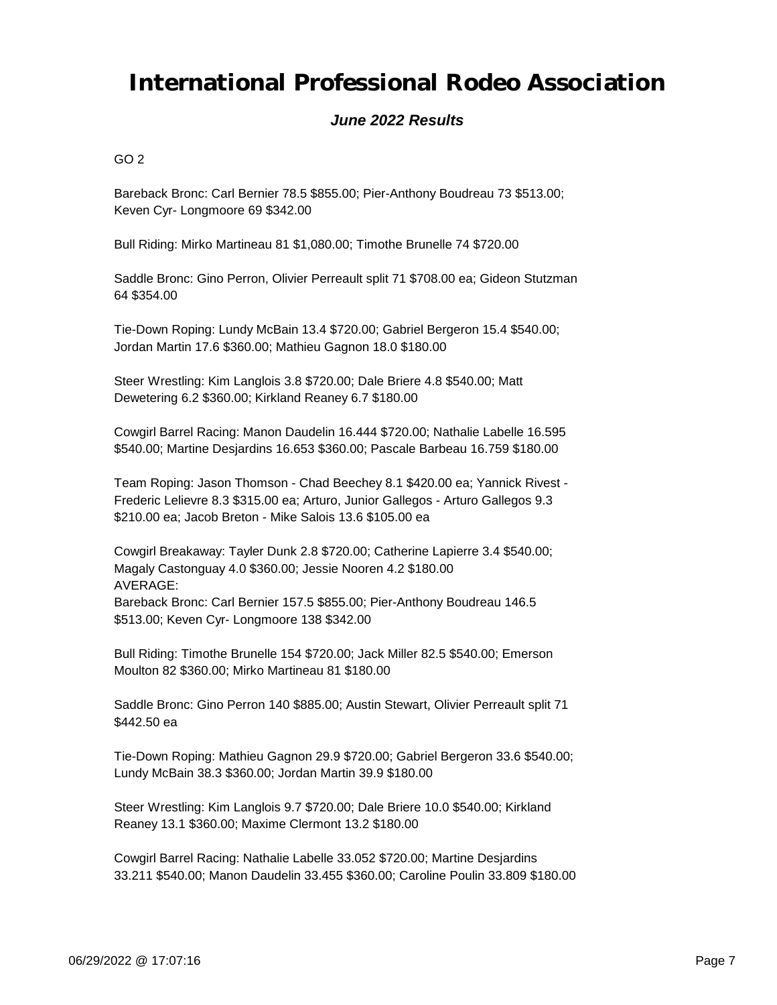### *June 2022 Results*

 $GO<sub>2</sub>$ 

Bareback Bronc: Carl Bernier 78.5 \$855.00; Pier-Anthony Boudreau 73 \$513.00; Keven Cyr- Longmoore 69 \$342.00

Bull Riding: Mirko Martineau 81 \$1,080.00; Timothe Brunelle 74 \$720.00

Saddle Bronc: Gino Perron, Olivier Perreault split 71 \$708.00 ea; Gideon Stutzman 64 \$354.00

Tie-Down Roping: Lundy McBain 13.4 \$720.00; Gabriel Bergeron 15.4 \$540.00; Jordan Martin 17.6 \$360.00; Mathieu Gagnon 18.0 \$180.00

Steer Wrestling: Kim Langlois 3.8 \$720.00; Dale Briere 4.8 \$540.00; Matt Dewetering 6.2 \$360.00; Kirkland Reaney 6.7 \$180.00

Cowgirl Barrel Racing: Manon Daudelin 16.444 \$720.00; Nathalie Labelle 16.595 \$540.00; Martine Desjardins 16.653 \$360.00; Pascale Barbeau 16.759 \$180.00

Team Roping: Jason Thomson - Chad Beechey 8.1 \$420.00 ea; Yannick Rivest - Frederic Lelievre 8.3 \$315.00 ea; Arturo, Junior Gallegos - Arturo Gallegos 9.3 \$210.00 ea; Jacob Breton - Mike Salois 13.6 \$105.00 ea

Cowgirl Breakaway: Tayler Dunk 2.8 \$720.00; Catherine Lapierre 3.4 \$540.00; Magaly Castonguay 4.0 \$360.00; Jessie Nooren 4.2 \$180.00 AVERAGE:

Bareback Bronc: Carl Bernier 157.5 \$855.00; Pier-Anthony Boudreau 146.5 \$513.00; Keven Cyr- Longmoore 138 \$342.00

Bull Riding: Timothe Brunelle 154 \$720.00; Jack Miller 82.5 \$540.00; Emerson Moulton 82 \$360.00; Mirko Martineau 81 \$180.00

Saddle Bronc: Gino Perron 140 \$885.00; Austin Stewart, Olivier Perreault split 71 \$442.50 ea

Tie-Down Roping: Mathieu Gagnon 29.9 \$720.00; Gabriel Bergeron 33.6 \$540.00; Lundy McBain 38.3 \$360.00; Jordan Martin 39.9 \$180.00

Steer Wrestling: Kim Langlois 9.7 \$720.00; Dale Briere 10.0 \$540.00; Kirkland Reaney 13.1 \$360.00; Maxime Clermont 13.2 \$180.00

Cowgirl Barrel Racing: Nathalie Labelle 33.052 \$720.00; Martine Desjardins 33.211 \$540.00; Manon Daudelin 33.455 \$360.00; Caroline Poulin 33.809 \$180.00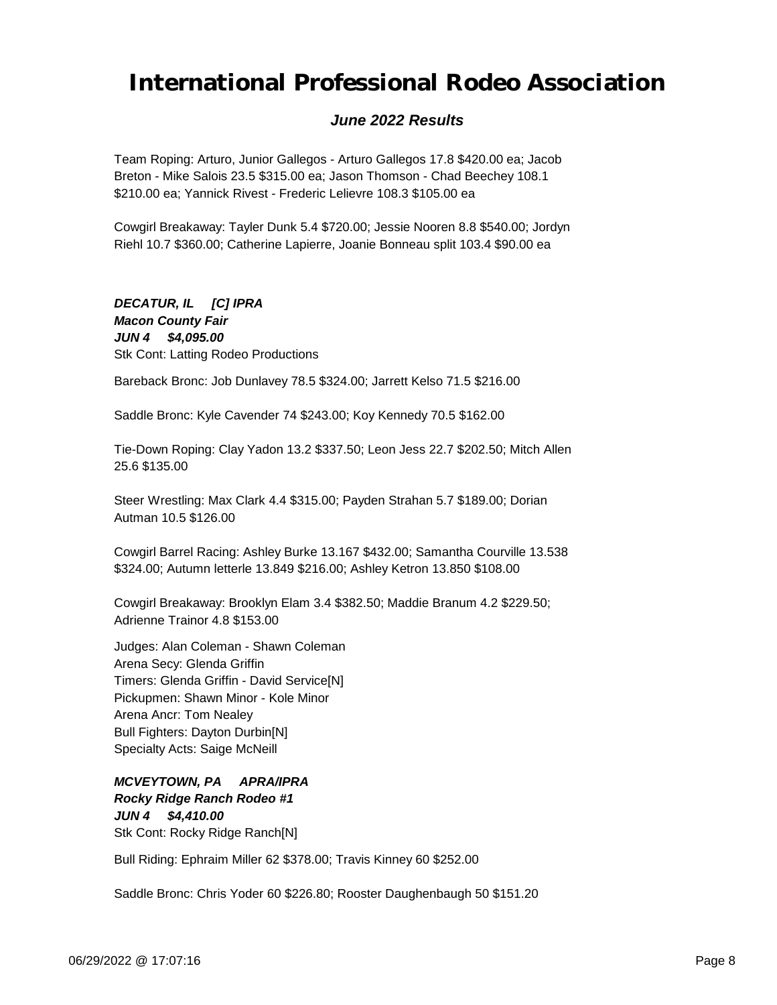### *June 2022 Results*

Team Roping: Arturo, Junior Gallegos - Arturo Gallegos 17.8 \$420.00 ea; Jacob Breton - Mike Salois 23.5 \$315.00 ea; Jason Thomson - Chad Beechey 108.1 \$210.00 ea; Yannick Rivest - Frederic Lelievre 108.3 \$105.00 ea

Cowgirl Breakaway: Tayler Dunk 5.4 \$720.00; Jessie Nooren 8.8 \$540.00; Jordyn Riehl 10.7 \$360.00; Catherine Lapierre, Joanie Bonneau split 103.4 \$90.00 ea

#### *JUN 4 \$4,095.00 DECATUR, IL [C] IPRA Macon County Fair* Stk Cont: Latting Rodeo Productions

Bareback Bronc: Job Dunlavey 78.5 \$324.00; Jarrett Kelso 71.5 \$216.00

Saddle Bronc: Kyle Cavender 74 \$243.00; Koy Kennedy 70.5 \$162.00

Tie-Down Roping: Clay Yadon 13.2 \$337.50; Leon Jess 22.7 \$202.50; Mitch Allen 25.6 \$135.00

Steer Wrestling: Max Clark 4.4 \$315.00; Payden Strahan 5.7 \$189.00; Dorian Autman 10.5 \$126.00

Cowgirl Barrel Racing: Ashley Burke 13.167 \$432.00; Samantha Courville 13.538 \$324.00; Autumn letterle 13.849 \$216.00; Ashley Ketron 13.850 \$108.00

Cowgirl Breakaway: Brooklyn Elam 3.4 \$382.50; Maddie Branum 4.2 \$229.50; Adrienne Trainor 4.8 \$153.00

Judges: Alan Coleman - Shawn Coleman Arena Secy: Glenda Griffin Timers: Glenda Griffin - David Service[N] Pickupmen: Shawn Minor - Kole Minor Arena Ancr: Tom Nealey Bull Fighters: Dayton Durbin[N] Specialty Acts: Saige McNeill

*JUN 4 \$4,410.00 MCVEYTOWN, PA APRA/IPRA Rocky Ridge Ranch Rodeo #1* Stk Cont: Rocky Ridge Ranch[N]

Bull Riding: Ephraim Miller 62 \$378.00; Travis Kinney 60 \$252.00

Saddle Bronc: Chris Yoder 60 \$226.80; Rooster Daughenbaugh 50 \$151.20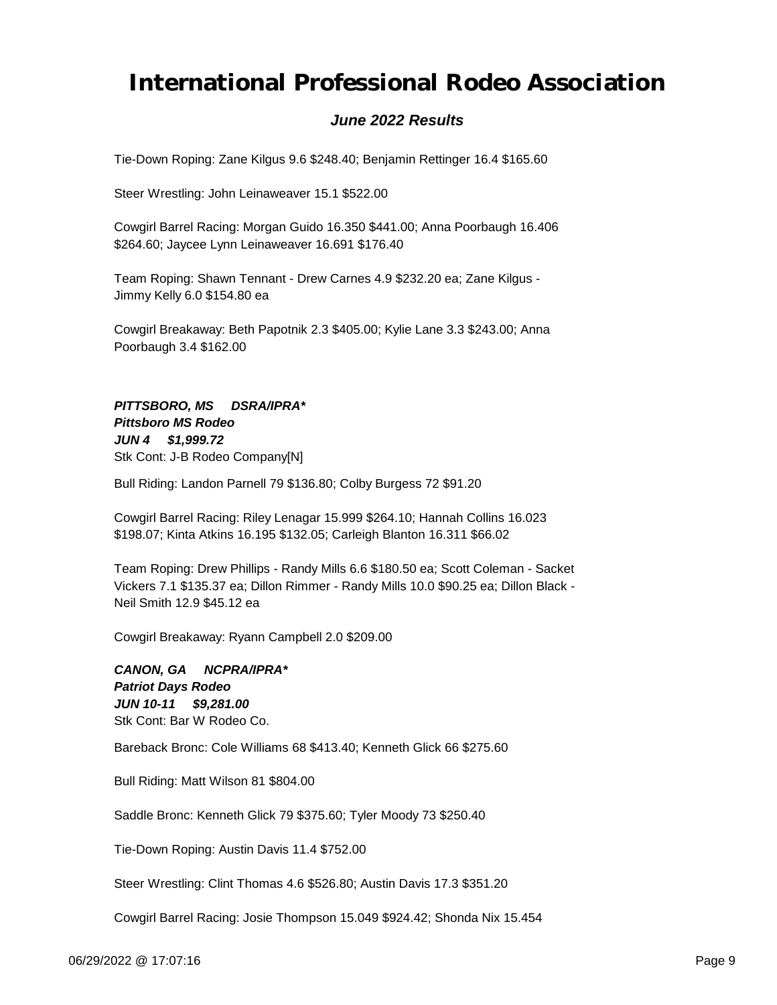### *June 2022 Results*

Tie-Down Roping: Zane Kilgus 9.6 \$248.40; Benjamin Rettinger 16.4 \$165.60

Steer Wrestling: John Leinaweaver 15.1 \$522.00

Cowgirl Barrel Racing: Morgan Guido 16.350 \$441.00; Anna Poorbaugh 16.406 \$264.60; Jaycee Lynn Leinaweaver 16.691 \$176.40

Team Roping: Shawn Tennant - Drew Carnes 4.9 \$232.20 ea; Zane Kilgus - Jimmy Kelly 6.0 \$154.80 ea

Cowgirl Breakaway: Beth Papotnik 2.3 \$405.00; Kylie Lane 3.3 \$243.00; Anna Poorbaugh 3.4 \$162.00

*JUN 4 \$1,999.72 PITTSBORO, MS DSRA/IPRA\* Pittsboro MS Rodeo* Stk Cont: J-B Rodeo Company[N]

Bull Riding: Landon Parnell 79 \$136.80; Colby Burgess 72 \$91.20

Cowgirl Barrel Racing: Riley Lenagar 15.999 \$264.10; Hannah Collins 16.023 \$198.07; Kinta Atkins 16.195 \$132.05; Carleigh Blanton 16.311 \$66.02

Team Roping: Drew Phillips - Randy Mills 6.6 \$180.50 ea; Scott Coleman - Sacket Vickers 7.1 \$135.37 ea; Dillon Rimmer - Randy Mills 10.0 \$90.25 ea; Dillon Black - Neil Smith 12.9 \$45.12 ea

Cowgirl Breakaway: Ryann Campbell 2.0 \$209.00

*JUN 10-11 \$9,281.00 CANON, GA NCPRA/IPRA\* Patriot Days Rodeo* Stk Cont: Bar W Rodeo Co.

Bareback Bronc: Cole Williams 68 \$413.40; Kenneth Glick 66 \$275.60

Bull Riding: Matt Wilson 81 \$804.00

Saddle Bronc: Kenneth Glick 79 \$375.60; Tyler Moody 73 \$250.40

Tie-Down Roping: Austin Davis 11.4 \$752.00

Steer Wrestling: Clint Thomas 4.6 \$526.80; Austin Davis 17.3 \$351.20

Cowgirl Barrel Racing: Josie Thompson 15.049 \$924.42; Shonda Nix 15.454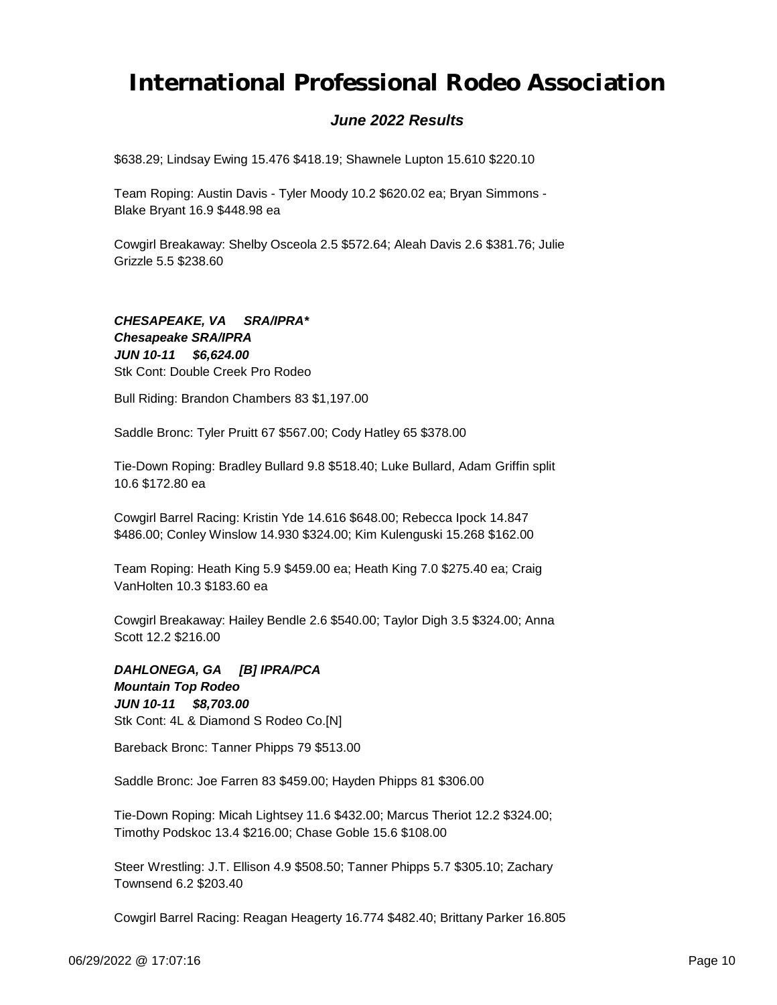### *June 2022 Results*

\$638.29; Lindsay Ewing 15.476 \$418.19; Shawnele Lupton 15.610 \$220.10

Team Roping: Austin Davis - Tyler Moody 10.2 \$620.02 ea; Bryan Simmons - Blake Bryant 16.9 \$448.98 ea

Cowgirl Breakaway: Shelby Osceola 2.5 \$572.64; Aleah Davis 2.6 \$381.76; Julie Grizzle 5.5 \$238.60

*JUN 10-11 \$6,624.00 CHESAPEAKE, VA SRA/IPRA\* Chesapeake SRA/IPRA* Stk Cont: Double Creek Pro Rodeo

Bull Riding: Brandon Chambers 83 \$1,197.00

Saddle Bronc: Tyler Pruitt 67 \$567.00; Cody Hatley 65 \$378.00

Tie-Down Roping: Bradley Bullard 9.8 \$518.40; Luke Bullard, Adam Griffin split 10.6 \$172.80 ea

Cowgirl Barrel Racing: Kristin Yde 14.616 \$648.00; Rebecca Ipock 14.847 \$486.00; Conley Winslow 14.930 \$324.00; Kim Kulenguski 15.268 \$162.00

Team Roping: Heath King 5.9 \$459.00 ea; Heath King 7.0 \$275.40 ea; Craig VanHolten 10.3 \$183.60 ea

Cowgirl Breakaway: Hailey Bendle 2.6 \$540.00; Taylor Digh 3.5 \$324.00; Anna Scott 12.2 \$216.00

*JUN 10-11 \$8,703.00 DAHLONEGA, GA [B] IPRA/PCA Mountain Top Rodeo* Stk Cont: 4L & Diamond S Rodeo Co.[N]

Bareback Bronc: Tanner Phipps 79 \$513.00

Saddle Bronc: Joe Farren 83 \$459.00; Hayden Phipps 81 \$306.00

Tie-Down Roping: Micah Lightsey 11.6 \$432.00; Marcus Theriot 12.2 \$324.00; Timothy Podskoc 13.4 \$216.00; Chase Goble 15.6 \$108.00

Steer Wrestling: J.T. Ellison 4.9 \$508.50; Tanner Phipps 5.7 \$305.10; Zachary Townsend 6.2 \$203.40

Cowgirl Barrel Racing: Reagan Heagerty 16.774 \$482.40; Brittany Parker 16.805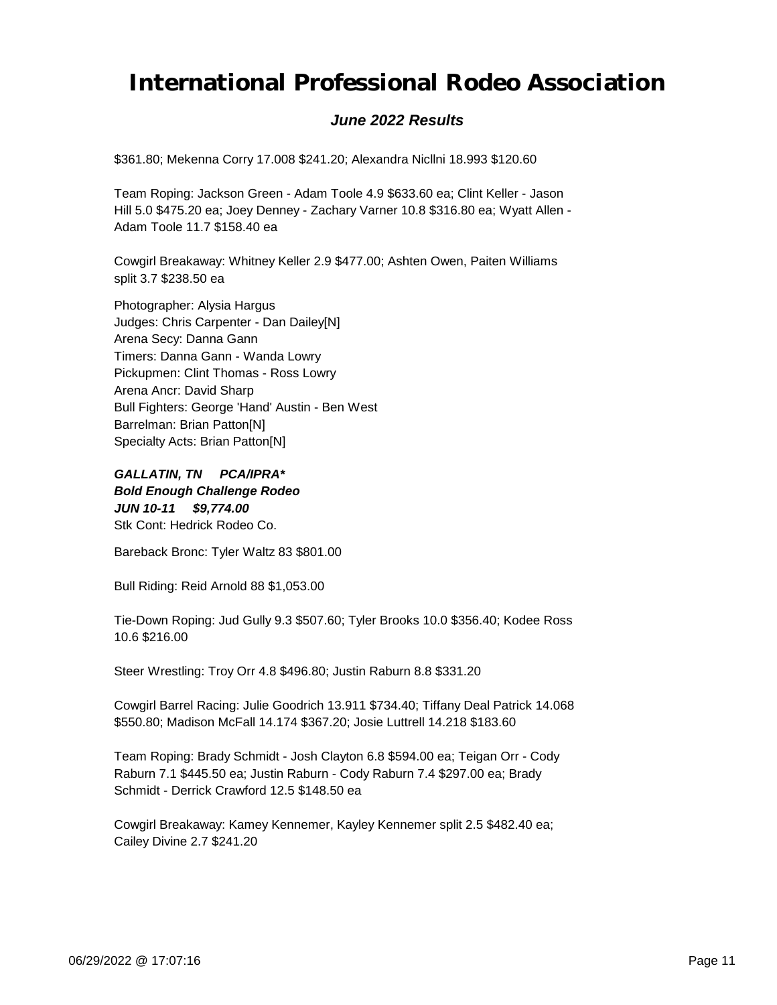### *June 2022 Results*

\$361.80; Mekenna Corry 17.008 \$241.20; Alexandra Nicllni 18.993 \$120.60

Team Roping: Jackson Green - Adam Toole 4.9 \$633.60 ea; Clint Keller - Jason Hill 5.0 \$475.20 ea; Joey Denney - Zachary Varner 10.8 \$316.80 ea; Wyatt Allen - Adam Toole 11.7 \$158.40 ea

Cowgirl Breakaway: Whitney Keller 2.9 \$477.00; Ashten Owen, Paiten Williams split 3.7 \$238.50 ea

Photographer: Alysia Hargus Judges: Chris Carpenter - Dan Dailey[N] Arena Secy: Danna Gann Timers: Danna Gann - Wanda Lowry Pickupmen: Clint Thomas - Ross Lowry Arena Ancr: David Sharp Bull Fighters: George 'Hand' Austin - Ben West Barrelman: Brian Patton[N] Specialty Acts: Brian Patton[N]

*JUN 10-11 \$9,774.00 GALLATIN, TN PCA/IPRA\* Bold Enough Challenge Rodeo* Stk Cont: Hedrick Rodeo Co.

Bareback Bronc: Tyler Waltz 83 \$801.00

Bull Riding: Reid Arnold 88 \$1,053.00

Tie-Down Roping: Jud Gully 9.3 \$507.60; Tyler Brooks 10.0 \$356.40; Kodee Ross 10.6 \$216.00

Steer Wrestling: Troy Orr 4.8 \$496.80; Justin Raburn 8.8 \$331.20

Cowgirl Barrel Racing: Julie Goodrich 13.911 \$734.40; Tiffany Deal Patrick 14.068 \$550.80; Madison McFall 14.174 \$367.20; Josie Luttrell 14.218 \$183.60

Team Roping: Brady Schmidt - Josh Clayton 6.8 \$594.00 ea; Teigan Orr - Cody Raburn 7.1 \$445.50 ea; Justin Raburn - Cody Raburn 7.4 \$297.00 ea; Brady Schmidt - Derrick Crawford 12.5 \$148.50 ea

Cowgirl Breakaway: Kamey Kennemer, Kayley Kennemer split 2.5 \$482.40 ea; Cailey Divine 2.7 \$241.20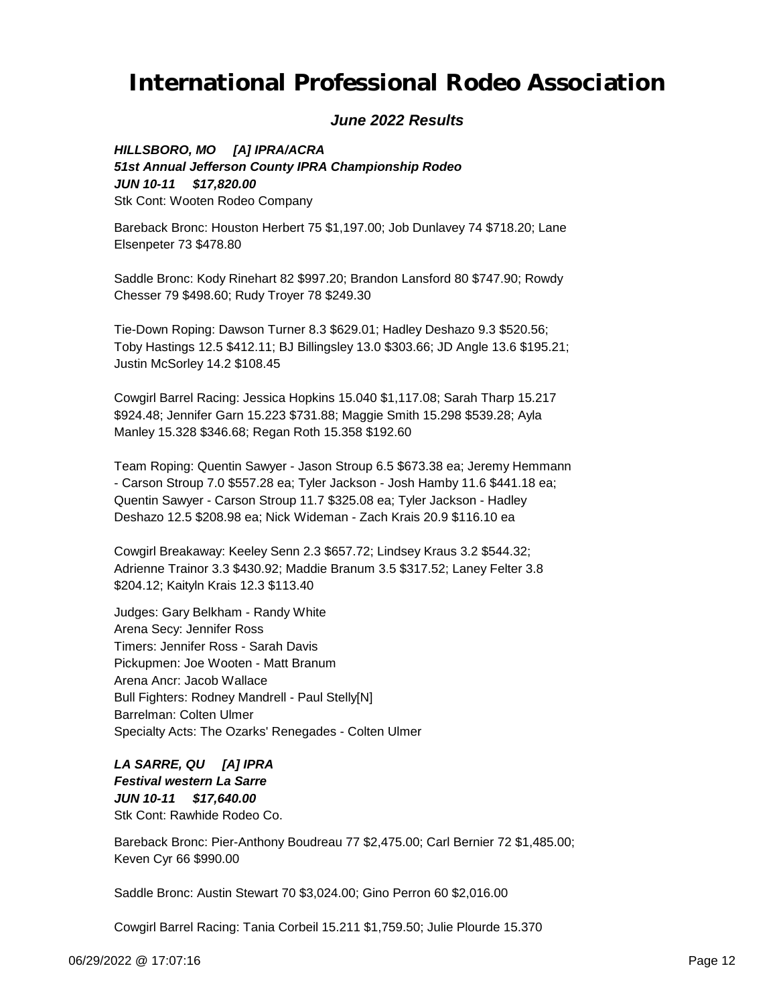### *June 2022 Results*

*JUN 10-11 \$17,820.00 HILLSBORO, MO [A] IPRA/ACRA 51st Annual Jefferson County IPRA Championship Rodeo* Stk Cont: Wooten Rodeo Company

Bareback Bronc: Houston Herbert 75 \$1,197.00; Job Dunlavey 74 \$718.20; Lane Elsenpeter 73 \$478.80

Saddle Bronc: Kody Rinehart 82 \$997.20; Brandon Lansford 80 \$747.90; Rowdy Chesser 79 \$498.60; Rudy Troyer 78 \$249.30

Tie-Down Roping: Dawson Turner 8.3 \$629.01; Hadley Deshazo 9.3 \$520.56; Toby Hastings 12.5 \$412.11; BJ Billingsley 13.0 \$303.66; JD Angle 13.6 \$195.21; Justin McSorley 14.2 \$108.45

Cowgirl Barrel Racing: Jessica Hopkins 15.040 \$1,117.08; Sarah Tharp 15.217 \$924.48; Jennifer Garn 15.223 \$731.88; Maggie Smith 15.298 \$539.28; Ayla Manley 15.328 \$346.68; Regan Roth 15.358 \$192.60

Team Roping: Quentin Sawyer - Jason Stroup 6.5 \$673.38 ea; Jeremy Hemmann - Carson Stroup 7.0 \$557.28 ea; Tyler Jackson - Josh Hamby 11.6 \$441.18 ea; Quentin Sawyer - Carson Stroup 11.7 \$325.08 ea; Tyler Jackson - Hadley Deshazo 12.5 \$208.98 ea; Nick Wideman - Zach Krais 20.9 \$116.10 ea

Cowgirl Breakaway: Keeley Senn 2.3 \$657.72; Lindsey Kraus 3.2 \$544.32; Adrienne Trainor 3.3 \$430.92; Maddie Branum 3.5 \$317.52; Laney Felter 3.8 \$204.12; Kaityln Krais 12.3 \$113.40

Judges: Gary Belkham - Randy White Arena Secy: Jennifer Ross Timers: Jennifer Ross - Sarah Davis Pickupmen: Joe Wooten - Matt Branum Arena Ancr: Jacob Wallace Bull Fighters: Rodney Mandrell - Paul Stelly[N] Barrelman: Colten Ulmer Specialty Acts: The Ozarks' Renegades - Colten Ulmer

*JUN 10-11 \$17,640.00 LA SARRE, QU [A] IPRA Festival western La Sarre* Stk Cont: Rawhide Rodeo Co.

Bareback Bronc: Pier-Anthony Boudreau 77 \$2,475.00; Carl Bernier 72 \$1,485.00; Keven Cyr 66 \$990.00

Saddle Bronc: Austin Stewart 70 \$3,024.00; Gino Perron 60 \$2,016.00

Cowgirl Barrel Racing: Tania Corbeil 15.211 \$1,759.50; Julie Plourde 15.370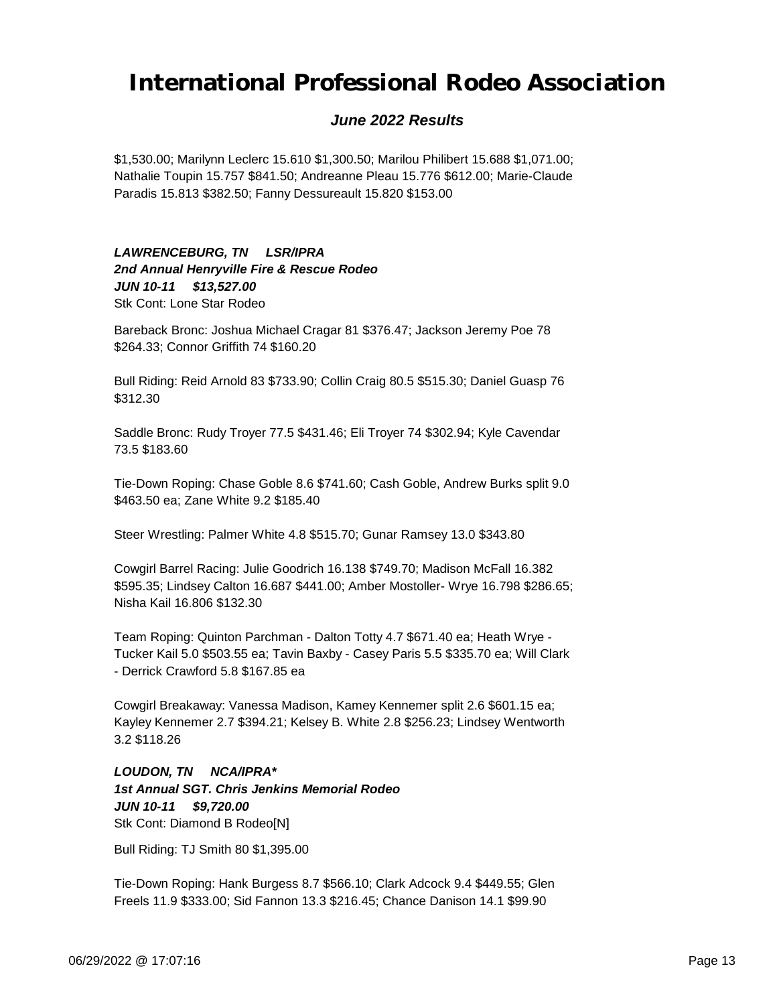### *June 2022 Results*

\$1,530.00; Marilynn Leclerc 15.610 \$1,300.50; Marilou Philibert 15.688 \$1,071.00; Nathalie Toupin 15.757 \$841.50; Andreanne Pleau 15.776 \$612.00; Marie-Claude Paradis 15.813 \$382.50; Fanny Dessureault 15.820 \$153.00

#### *JUN 10-11 \$13,527.00 LAWRENCEBURG, TN LSR/IPRA 2nd Annual Henryville Fire & Rescue Rodeo* Stk Cont: Lone Star Rodeo

Bareback Bronc: Joshua Michael Cragar 81 \$376.47; Jackson Jeremy Poe 78 \$264.33; Connor Griffith 74 \$160.20

Bull Riding: Reid Arnold 83 \$733.90; Collin Craig 80.5 \$515.30; Daniel Guasp 76 \$312.30

Saddle Bronc: Rudy Troyer 77.5 \$431.46; Eli Troyer 74 \$302.94; Kyle Cavendar 73.5 \$183.60

Tie-Down Roping: Chase Goble 8.6 \$741.60; Cash Goble, Andrew Burks split 9.0 \$463.50 ea; Zane White 9.2 \$185.40

Steer Wrestling: Palmer White 4.8 \$515.70; Gunar Ramsey 13.0 \$343.80

Cowgirl Barrel Racing: Julie Goodrich 16.138 \$749.70; Madison McFall 16.382 \$595.35; Lindsey Calton 16.687 \$441.00; Amber Mostoller- Wrye 16.798 \$286.65; Nisha Kail 16.806 \$132.30

Team Roping: Quinton Parchman - Dalton Totty 4.7 \$671.40 ea; Heath Wrye - Tucker Kail 5.0 \$503.55 ea; Tavin Baxby - Casey Paris 5.5 \$335.70 ea; Will Clark - Derrick Crawford 5.8 \$167.85 ea

Cowgirl Breakaway: Vanessa Madison, Kamey Kennemer split 2.6 \$601.15 ea; Kayley Kennemer 2.7 \$394.21; Kelsey B. White 2.8 \$256.23; Lindsey Wentworth 3.2 \$118.26

*JUN 10-11 \$9,720.00 LOUDON, TN NCA/IPRA\* 1st Annual SGT. Chris Jenkins Memorial Rodeo* Stk Cont: Diamond B Rodeo[N]

Bull Riding: TJ Smith 80 \$1,395.00

Tie-Down Roping: Hank Burgess 8.7 \$566.10; Clark Adcock 9.4 \$449.55; Glen Freels 11.9 \$333.00; Sid Fannon 13.3 \$216.45; Chance Danison 14.1 \$99.90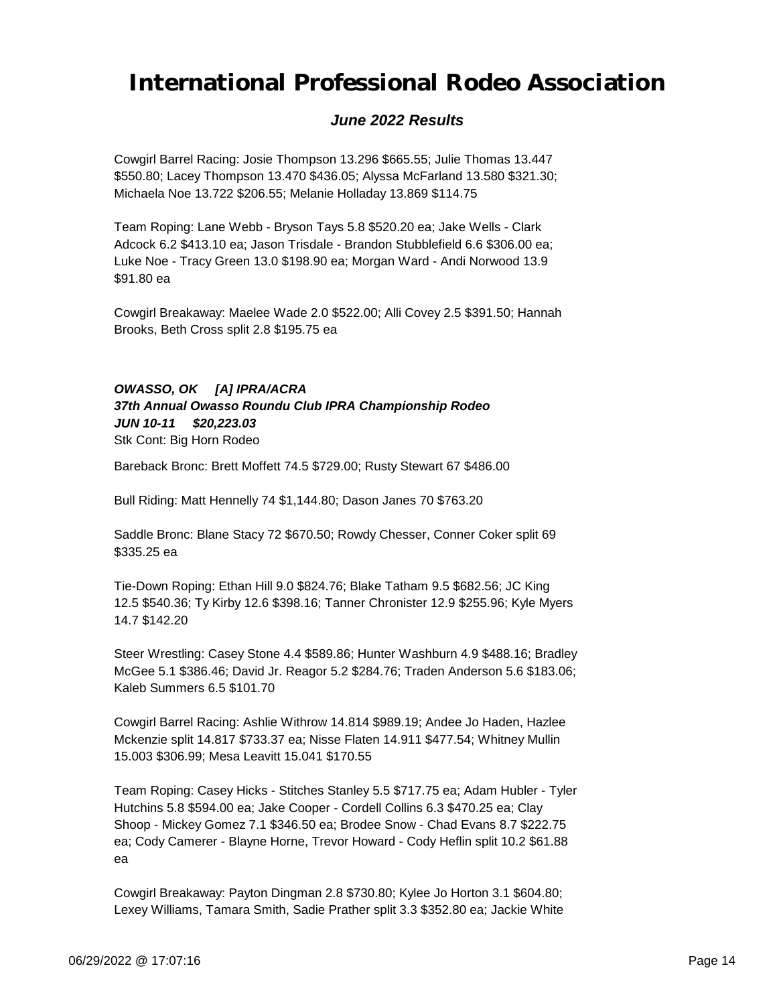### *June 2022 Results*

Cowgirl Barrel Racing: Josie Thompson 13.296 \$665.55; Julie Thomas 13.447 \$550.80; Lacey Thompson 13.470 \$436.05; Alyssa McFarland 13.580 \$321.30; Michaela Noe 13.722 \$206.55; Melanie Holladay 13.869 \$114.75

Team Roping: Lane Webb - Bryson Tays 5.8 \$520.20 ea; Jake Wells - Clark Adcock 6.2 \$413.10 ea; Jason Trisdale - Brandon Stubblefield 6.6 \$306.00 ea; Luke Noe - Tracy Green 13.0 \$198.90 ea; Morgan Ward - Andi Norwood 13.9 \$91.80 ea

Cowgirl Breakaway: Maelee Wade 2.0 \$522.00; Alli Covey 2.5 \$391.50; Hannah Brooks, Beth Cross split 2.8 \$195.75 ea

### *OWASSO, OK [A] IPRA/ACRA*

*JUN 10-11 \$20,223.03 37th Annual Owasso Roundu Club IPRA Championship Rodeo*

Stk Cont: Big Horn Rodeo

Bareback Bronc: Brett Moffett 74.5 \$729.00; Rusty Stewart 67 \$486.00

Bull Riding: Matt Hennelly 74 \$1,144.80; Dason Janes 70 \$763.20

Saddle Bronc: Blane Stacy 72 \$670.50; Rowdy Chesser, Conner Coker split 69 \$335.25 ea

Tie-Down Roping: Ethan Hill 9.0 \$824.76; Blake Tatham 9.5 \$682.56; JC King 12.5 \$540.36; Ty Kirby 12.6 \$398.16; Tanner Chronister 12.9 \$255.96; Kyle Myers 14.7 \$142.20

Steer Wrestling: Casey Stone 4.4 \$589.86; Hunter Washburn 4.9 \$488.16; Bradley McGee 5.1 \$386.46; David Jr. Reagor 5.2 \$284.76; Traden Anderson 5.6 \$183.06; Kaleb Summers 6.5 \$101.70

Cowgirl Barrel Racing: Ashlie Withrow 14.814 \$989.19; Andee Jo Haden, Hazlee Mckenzie split 14.817 \$733.37 ea; Nisse Flaten 14.911 \$477.54; Whitney Mullin 15.003 \$306.99; Mesa Leavitt 15.041 \$170.55

Team Roping: Casey Hicks - Stitches Stanley 5.5 \$717.75 ea; Adam Hubler - Tyler Hutchins 5.8 \$594.00 ea; Jake Cooper - Cordell Collins 6.3 \$470.25 ea; Clay Shoop - Mickey Gomez 7.1 \$346.50 ea; Brodee Snow - Chad Evans 8.7 \$222.75 ea; Cody Camerer - Blayne Horne, Trevor Howard - Cody Heflin split 10.2 \$61.88 ea

Cowgirl Breakaway: Payton Dingman 2.8 \$730.80; Kylee Jo Horton 3.1 \$604.80; Lexey Williams, Tamara Smith, Sadie Prather split 3.3 \$352.80 ea; Jackie White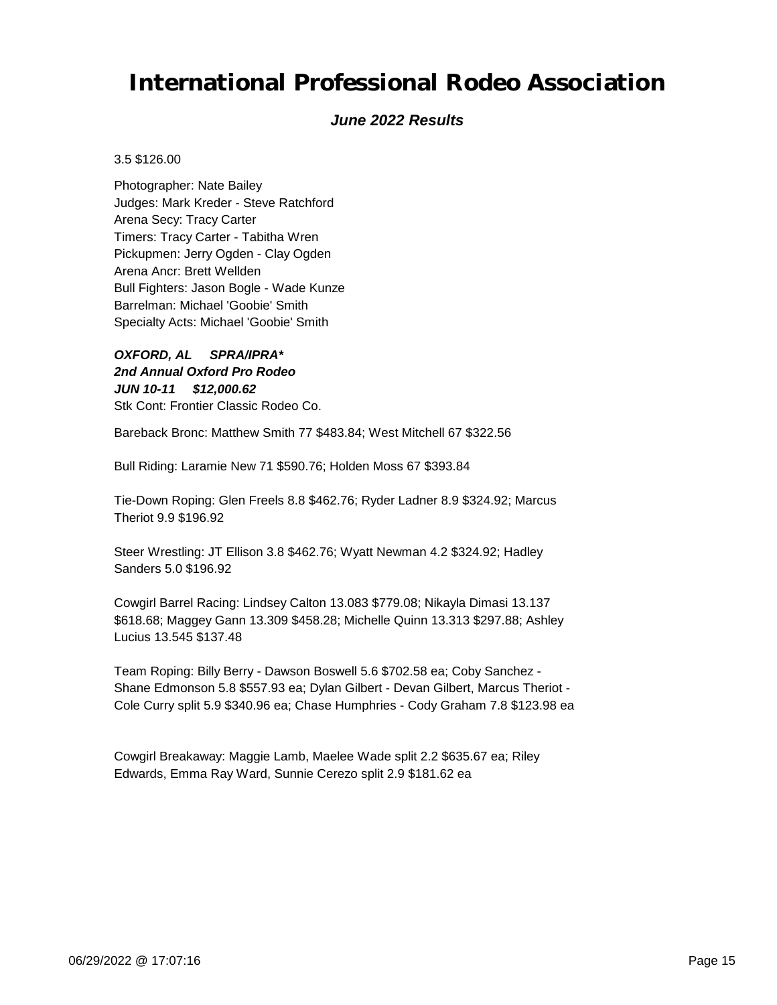### *June 2022 Results*

3.5 \$126.00

Photographer: Nate Bailey Judges: Mark Kreder - Steve Ratchford Arena Secy: Tracy Carter Timers: Tracy Carter - Tabitha Wren Pickupmen: Jerry Ogden - Clay Ogden Arena Ancr: Brett Wellden Bull Fighters: Jason Bogle - Wade Kunze Barrelman: Michael 'Goobie' Smith Specialty Acts: Michael 'Goobie' Smith

*JUN 10-11 \$12,000.62 OXFORD, AL SPRA/IPRA\* 2nd Annual Oxford Pro Rodeo* Stk Cont: Frontier Classic Rodeo Co.

Bareback Bronc: Matthew Smith 77 \$483.84; West Mitchell 67 \$322.56

Bull Riding: Laramie New 71 \$590.76; Holden Moss 67 \$393.84

Tie-Down Roping: Glen Freels 8.8 \$462.76; Ryder Ladner 8.9 \$324.92; Marcus Theriot 9.9 \$196.92

Steer Wrestling: JT Ellison 3.8 \$462.76; Wyatt Newman 4.2 \$324.92; Hadley Sanders 5.0 \$196.92

Cowgirl Barrel Racing: Lindsey Calton 13.083 \$779.08; Nikayla Dimasi 13.137 \$618.68; Maggey Gann 13.309 \$458.28; Michelle Quinn 13.313 \$297.88; Ashley Lucius 13.545 \$137.48

Team Roping: Billy Berry - Dawson Boswell 5.6 \$702.58 ea; Coby Sanchez - Shane Edmonson 5.8 \$557.93 ea; Dylan Gilbert - Devan Gilbert, Marcus Theriot - Cole Curry split 5.9 \$340.96 ea; Chase Humphries - Cody Graham 7.8 \$123.98 ea

Cowgirl Breakaway: Maggie Lamb, Maelee Wade split 2.2 \$635.67 ea; Riley Edwards, Emma Ray Ward, Sunnie Cerezo split 2.9 \$181.62 ea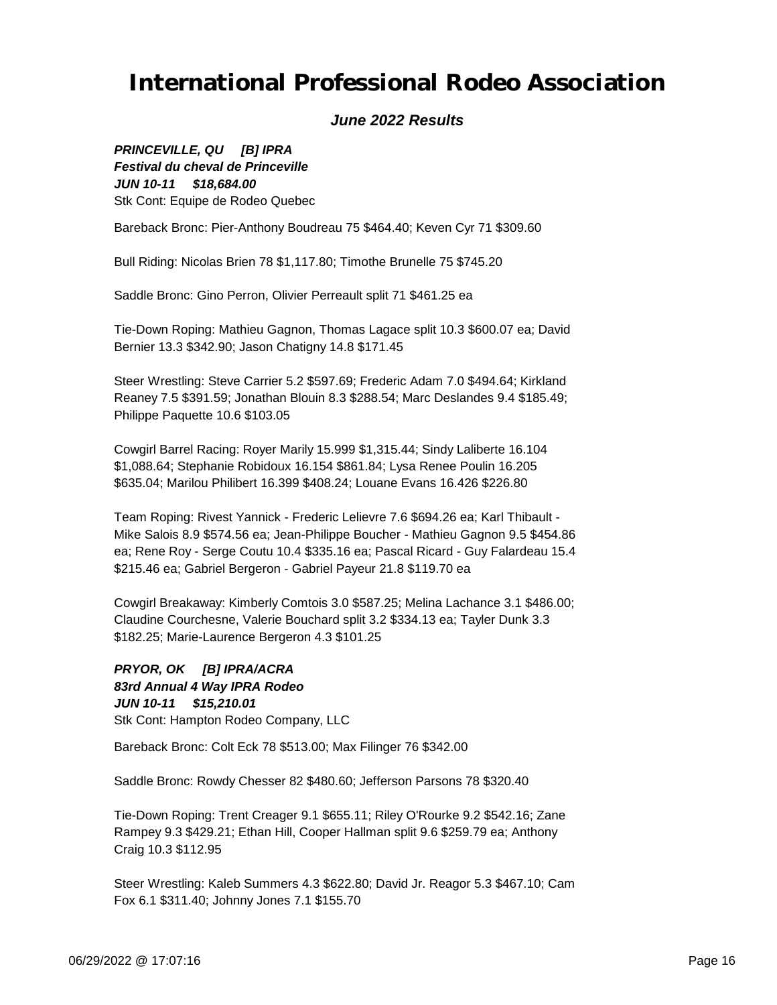### *June 2022 Results*

*JUN 10-11 \$18,684.00 PRINCEVILLE, QU [B] IPRA Festival du cheval de Princeville* Stk Cont: Equipe de Rodeo Quebec

Bareback Bronc: Pier-Anthony Boudreau 75 \$464.40; Keven Cyr 71 \$309.60

Bull Riding: Nicolas Brien 78 \$1,117.80; Timothe Brunelle 75 \$745.20

Saddle Bronc: Gino Perron, Olivier Perreault split 71 \$461.25 ea

Tie-Down Roping: Mathieu Gagnon, Thomas Lagace split 10.3 \$600.07 ea; David Bernier 13.3 \$342.90; Jason Chatigny 14.8 \$171.45

Steer Wrestling: Steve Carrier 5.2 \$597.69; Frederic Adam 7.0 \$494.64; Kirkland Reaney 7.5 \$391.59; Jonathan Blouin 8.3 \$288.54; Marc Deslandes 9.4 \$185.49; Philippe Paquette 10.6 \$103.05

Cowgirl Barrel Racing: Royer Marily 15.999 \$1,315.44; Sindy Laliberte 16.104 \$1,088.64; Stephanie Robidoux 16.154 \$861.84; Lysa Renee Poulin 16.205 \$635.04; Marilou Philibert 16.399 \$408.24; Louane Evans 16.426 \$226.80

Team Roping: Rivest Yannick - Frederic Lelievre 7.6 \$694.26 ea; Karl Thibault - Mike Salois 8.9 \$574.56 ea; Jean-Philippe Boucher - Mathieu Gagnon 9.5 \$454.86 ea; Rene Roy - Serge Coutu 10.4 \$335.16 ea; Pascal Ricard - Guy Falardeau 15.4 \$215.46 ea; Gabriel Bergeron - Gabriel Payeur 21.8 \$119.70 ea

Cowgirl Breakaway: Kimberly Comtois 3.0 \$587.25; Melina Lachance 3.1 \$486.00; Claudine Courchesne, Valerie Bouchard split 3.2 \$334.13 ea; Tayler Dunk 3.3 \$182.25; Marie-Laurence Bergeron 4.3 \$101.25

*JUN 10-11 \$15,210.01 PRYOR, OK [B] IPRA/ACRA 83rd Annual 4 Way IPRA Rodeo* Stk Cont: Hampton Rodeo Company, LLC

Bareback Bronc: Colt Eck 78 \$513.00; Max Filinger 76 \$342.00

Saddle Bronc: Rowdy Chesser 82 \$480.60; Jefferson Parsons 78 \$320.40

Tie-Down Roping: Trent Creager 9.1 \$655.11; Riley O'Rourke 9.2 \$542.16; Zane Rampey 9.3 \$429.21; Ethan Hill, Cooper Hallman split 9.6 \$259.79 ea; Anthony Craig 10.3 \$112.95

Steer Wrestling: Kaleb Summers 4.3 \$622.80; David Jr. Reagor 5.3 \$467.10; Cam Fox 6.1 \$311.40; Johnny Jones 7.1 \$155.70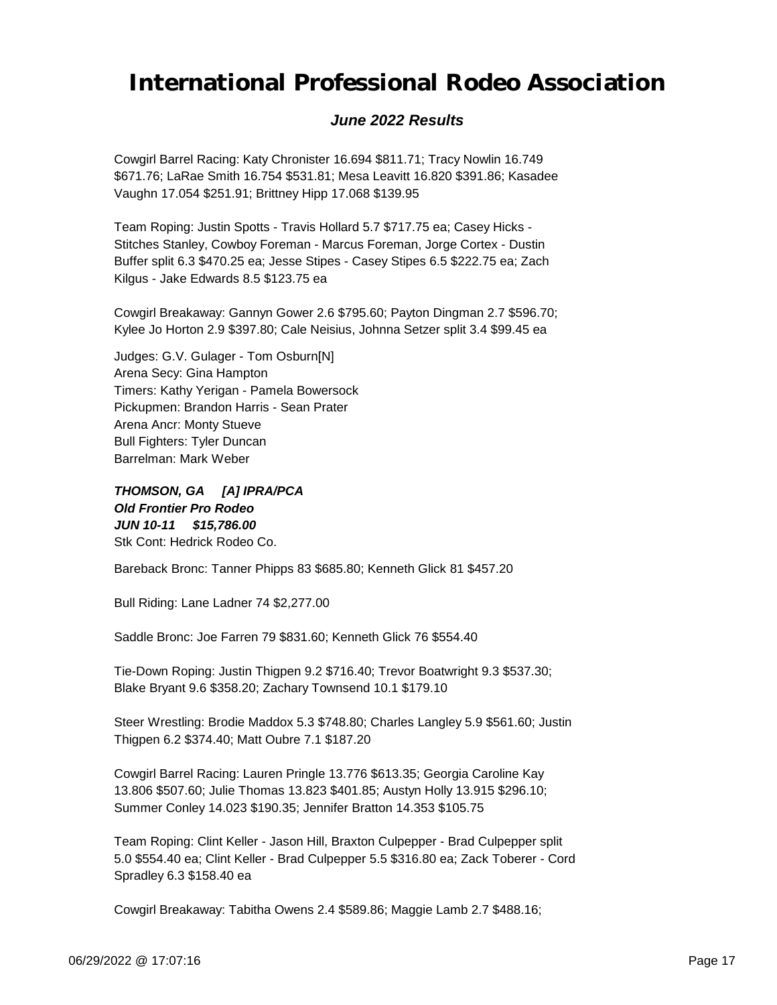### *June 2022 Results*

Cowgirl Barrel Racing: Katy Chronister 16.694 \$811.71; Tracy Nowlin 16.749 \$671.76; LaRae Smith 16.754 \$531.81; Mesa Leavitt 16.820 \$391.86; Kasadee Vaughn 17.054 \$251.91; Brittney Hipp 17.068 \$139.95

Team Roping: Justin Spotts - Travis Hollard 5.7 \$717.75 ea; Casey Hicks - Stitches Stanley, Cowboy Foreman - Marcus Foreman, Jorge Cortex - Dustin Buffer split 6.3 \$470.25 ea; Jesse Stipes - Casey Stipes 6.5 \$222.75 ea; Zach Kilgus - Jake Edwards 8.5 \$123.75 ea

Cowgirl Breakaway: Gannyn Gower 2.6 \$795.60; Payton Dingman 2.7 \$596.70; Kylee Jo Horton 2.9 \$397.80; Cale Neisius, Johnna Setzer split 3.4 \$99.45 ea

Judges: G.V. Gulager - Tom Osburn[N] Arena Secy: Gina Hampton Timers: Kathy Yerigan - Pamela Bowersock Pickupmen: Brandon Harris - Sean Prater Arena Ancr: Monty Stueve Bull Fighters: Tyler Duncan Barrelman: Mark Weber

*JUN 10-11 \$15,786.00 THOMSON, GA [A] IPRA/PCA Old Frontier Pro Rodeo* Stk Cont: Hedrick Rodeo Co.

Bareback Bronc: Tanner Phipps 83 \$685.80; Kenneth Glick 81 \$457.20

Bull Riding: Lane Ladner 74 \$2,277.00

Saddle Bronc: Joe Farren 79 \$831.60; Kenneth Glick 76 \$554.40

Tie-Down Roping: Justin Thigpen 9.2 \$716.40; Trevor Boatwright 9.3 \$537.30; Blake Bryant 9.6 \$358.20; Zachary Townsend 10.1 \$179.10

Steer Wrestling: Brodie Maddox 5.3 \$748.80; Charles Langley 5.9 \$561.60; Justin Thigpen 6.2 \$374.40; Matt Oubre 7.1 \$187.20

Cowgirl Barrel Racing: Lauren Pringle 13.776 \$613.35; Georgia Caroline Kay 13.806 \$507.60; Julie Thomas 13.823 \$401.85; Austyn Holly 13.915 \$296.10; Summer Conley 14.023 \$190.35; Jennifer Bratton 14.353 \$105.75

Team Roping: Clint Keller - Jason Hill, Braxton Culpepper - Brad Culpepper split 5.0 \$554.40 ea; Clint Keller - Brad Culpepper 5.5 \$316.80 ea; Zack Toberer - Cord Spradley 6.3 \$158.40 ea

Cowgirl Breakaway: Tabitha Owens 2.4 \$589.86; Maggie Lamb 2.7 \$488.16;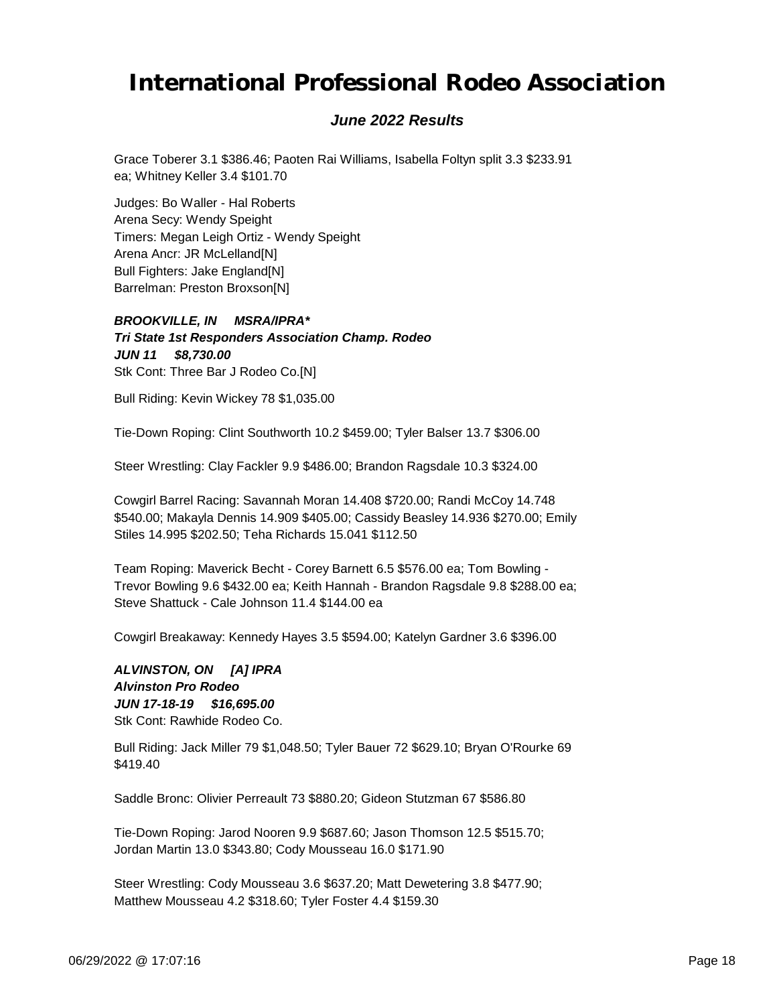### *June 2022 Results*

Grace Toberer 3.1 \$386.46; Paoten Rai Williams, Isabella Foltyn split 3.3 \$233.91 ea; Whitney Keller 3.4 \$101.70

Judges: Bo Waller - Hal Roberts Arena Secy: Wendy Speight Timers: Megan Leigh Ortiz - Wendy Speight Arena Ancr: JR McLelland[N] Bull Fighters: Jake England[N] Barrelman: Preston Broxson[N]

*JUN 11 \$8,730.00 BROOKVILLE, IN MSRA/IPRA\* Tri State 1st Responders Association Champ. Rodeo* Stk Cont: Three Bar J Rodeo Co.[N]

Bull Riding: Kevin Wickey 78 \$1,035.00

Tie-Down Roping: Clint Southworth 10.2 \$459.00; Tyler Balser 13.7 \$306.00

Steer Wrestling: Clay Fackler 9.9 \$486.00; Brandon Ragsdale 10.3 \$324.00

Cowgirl Barrel Racing: Savannah Moran 14.408 \$720.00; Randi McCoy 14.748 \$540.00; Makayla Dennis 14.909 \$405.00; Cassidy Beasley 14.936 \$270.00; Emily Stiles 14.995 \$202.50; Teha Richards 15.041 \$112.50

Team Roping: Maverick Becht - Corey Barnett 6.5 \$576.00 ea; Tom Bowling - Trevor Bowling 9.6 \$432.00 ea; Keith Hannah - Brandon Ragsdale 9.8 \$288.00 ea; Steve Shattuck - Cale Johnson 11.4 \$144.00 ea

Cowgirl Breakaway: Kennedy Hayes 3.5 \$594.00; Katelyn Gardner 3.6 \$396.00

*JUN 17-18-19 \$16,695.00 ALVINSTON, ON [A] IPRA Alvinston Pro Rodeo* Stk Cont: Rawhide Rodeo Co.

Bull Riding: Jack Miller 79 \$1,048.50; Tyler Bauer 72 \$629.10; Bryan O'Rourke 69 \$419.40

Saddle Bronc: Olivier Perreault 73 \$880.20; Gideon Stutzman 67 \$586.80

Tie-Down Roping: Jarod Nooren 9.9 \$687.60; Jason Thomson 12.5 \$515.70; Jordan Martin 13.0 \$343.80; Cody Mousseau 16.0 \$171.90

Steer Wrestling: Cody Mousseau 3.6 \$637.20; Matt Dewetering 3.8 \$477.90; Matthew Mousseau 4.2 \$318.60; Tyler Foster 4.4 \$159.30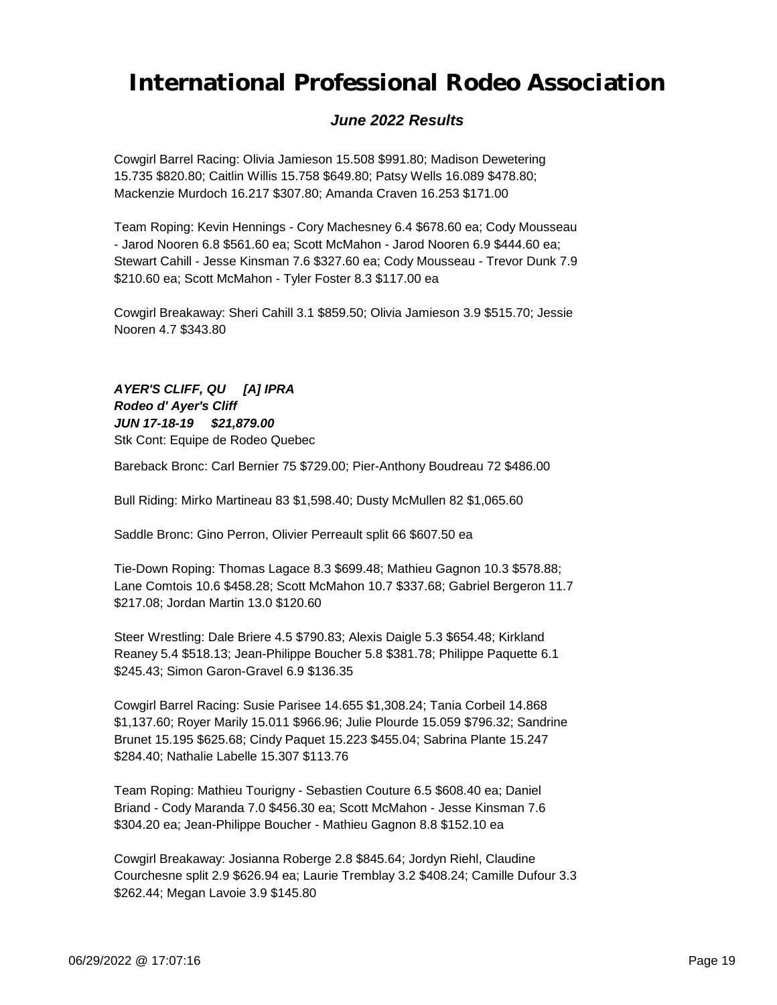### *June 2022 Results*

Cowgirl Barrel Racing: Olivia Jamieson 15.508 \$991.80; Madison Dewetering 15.735 \$820.80; Caitlin Willis 15.758 \$649.80; Patsy Wells 16.089 \$478.80; Mackenzie Murdoch 16.217 \$307.80; Amanda Craven 16.253 \$171.00

Team Roping: Kevin Hennings - Cory Machesney 6.4 \$678.60 ea; Cody Mousseau - Jarod Nooren 6.8 \$561.60 ea; Scott McMahon - Jarod Nooren 6.9 \$444.60 ea; Stewart Cahill - Jesse Kinsman 7.6 \$327.60 ea; Cody Mousseau - Trevor Dunk 7.9 \$210.60 ea; Scott McMahon - Tyler Foster 8.3 \$117.00 ea

Cowgirl Breakaway: Sheri Cahill 3.1 \$859.50; Olivia Jamieson 3.9 \$515.70; Jessie Nooren 4.7 \$343.80

*JUN 17-18-19 \$21,879.00 AYER'S CLIFF, QU [A] IPRA Rodeo d' Ayer's Cliff* Stk Cont: Equipe de Rodeo Quebec

Bareback Bronc: Carl Bernier 75 \$729.00; Pier-Anthony Boudreau 72 \$486.00

Bull Riding: Mirko Martineau 83 \$1,598.40; Dusty McMullen 82 \$1,065.60

Saddle Bronc: Gino Perron, Olivier Perreault split 66 \$607.50 ea

Tie-Down Roping: Thomas Lagace 8.3 \$699.48; Mathieu Gagnon 10.3 \$578.88; Lane Comtois 10.6 \$458.28; Scott McMahon 10.7 \$337.68; Gabriel Bergeron 11.7 \$217.08; Jordan Martin 13.0 \$120.60

Steer Wrestling: Dale Briere 4.5 \$790.83; Alexis Daigle 5.3 \$654.48; Kirkland Reaney 5.4 \$518.13; Jean-Philippe Boucher 5.8 \$381.78; Philippe Paquette 6.1 \$245.43; Simon Garon-Gravel 6.9 \$136.35

Cowgirl Barrel Racing: Susie Parisee 14.655 \$1,308.24; Tania Corbeil 14.868 \$1,137.60; Royer Marily 15.011 \$966.96; Julie Plourde 15.059 \$796.32; Sandrine Brunet 15.195 \$625.68; Cindy Paquet 15.223 \$455.04; Sabrina Plante 15.247 \$284.40; Nathalie Labelle 15.307 \$113.76

Team Roping: Mathieu Tourigny - Sebastien Couture 6.5 \$608.40 ea; Daniel Briand - Cody Maranda 7.0 \$456.30 ea; Scott McMahon - Jesse Kinsman 7.6 \$304.20 ea; Jean-Philippe Boucher - Mathieu Gagnon 8.8 \$152.10 ea

Cowgirl Breakaway: Josianna Roberge 2.8 \$845.64; Jordyn Riehl, Claudine Courchesne split 2.9 \$626.94 ea; Laurie Tremblay 3.2 \$408.24; Camille Dufour 3.3 \$262.44; Megan Lavoie 3.9 \$145.80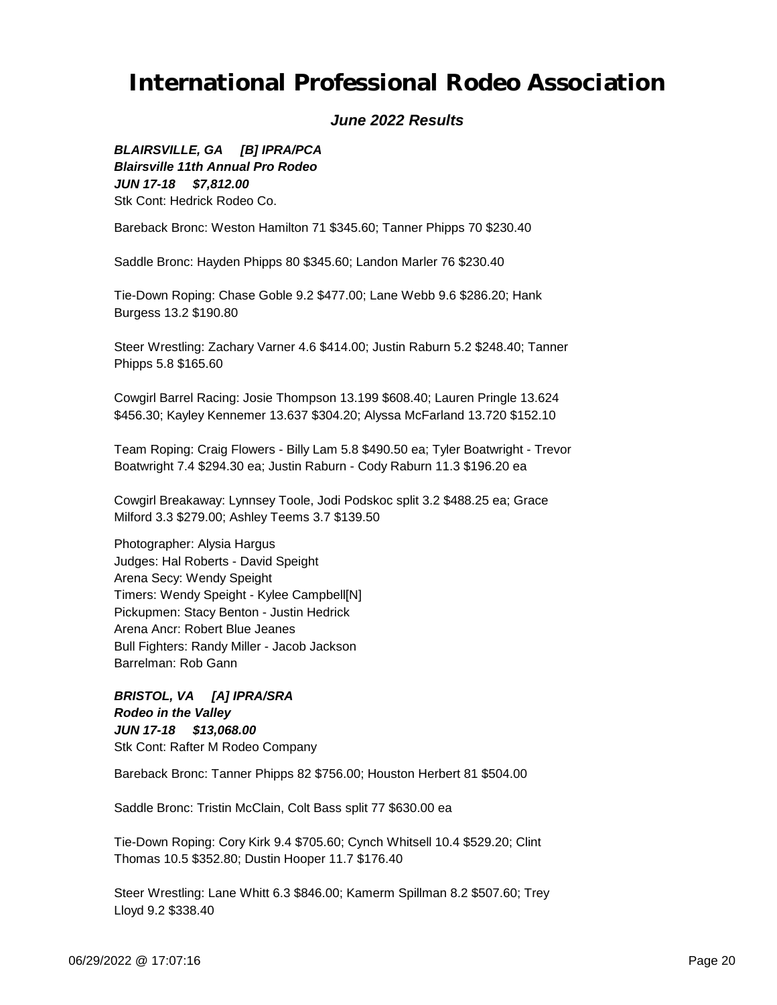### *June 2022 Results*

*JUN 17-18 \$7,812.00 BLAIRSVILLE, GA [B] IPRA/PCA Blairsville 11th Annual Pro Rodeo* Stk Cont: Hedrick Rodeo Co.

Bareback Bronc: Weston Hamilton 71 \$345.60; Tanner Phipps 70 \$230.40

Saddle Bronc: Hayden Phipps 80 \$345.60; Landon Marler 76 \$230.40

Tie-Down Roping: Chase Goble 9.2 \$477.00; Lane Webb 9.6 \$286.20; Hank Burgess 13.2 \$190.80

Steer Wrestling: Zachary Varner 4.6 \$414.00; Justin Raburn 5.2 \$248.40; Tanner Phipps 5.8 \$165.60

Cowgirl Barrel Racing: Josie Thompson 13.199 \$608.40; Lauren Pringle 13.624 \$456.30; Kayley Kennemer 13.637 \$304.20; Alyssa McFarland 13.720 \$152.10

Team Roping: Craig Flowers - Billy Lam 5.8 \$490.50 ea; Tyler Boatwright - Trevor Boatwright 7.4 \$294.30 ea; Justin Raburn - Cody Raburn 11.3 \$196.20 ea

Cowgirl Breakaway: Lynnsey Toole, Jodi Podskoc split 3.2 \$488.25 ea; Grace Milford 3.3 \$279.00; Ashley Teems 3.7 \$139.50

Photographer: Alysia Hargus Judges: Hal Roberts - David Speight Arena Secy: Wendy Speight Timers: Wendy Speight - Kylee Campbell[N] Pickupmen: Stacy Benton - Justin Hedrick Arena Ancr: Robert Blue Jeanes Bull Fighters: Randy Miller - Jacob Jackson Barrelman: Rob Gann

*JUN 17-18 \$13,068.00 BRISTOL, VA [A] IPRA/SRA Rodeo in the Valley* Stk Cont: Rafter M Rodeo Company

Bareback Bronc: Tanner Phipps 82 \$756.00; Houston Herbert 81 \$504.00

Saddle Bronc: Tristin McClain, Colt Bass split 77 \$630.00 ea

Tie-Down Roping: Cory Kirk 9.4 \$705.60; Cynch Whitsell 10.4 \$529.20; Clint Thomas 10.5 \$352.80; Dustin Hooper 11.7 \$176.40

Steer Wrestling: Lane Whitt 6.3 \$846.00; Kamerm Spillman 8.2 \$507.60; Trey Lloyd 9.2 \$338.40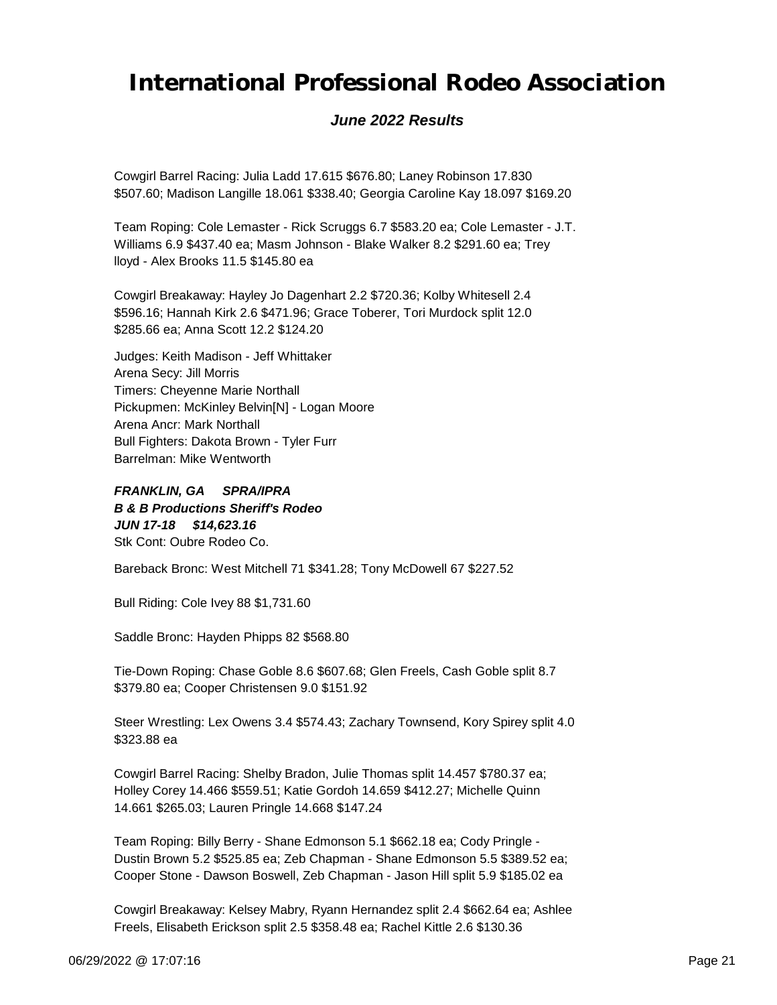### *June 2022 Results*

Cowgirl Barrel Racing: Julia Ladd 17.615 \$676.80; Laney Robinson 17.830 \$507.60; Madison Langille 18.061 \$338.40; Georgia Caroline Kay 18.097 \$169.20

Team Roping: Cole Lemaster - Rick Scruggs 6.7 \$583.20 ea; Cole Lemaster - J.T. Williams 6.9 \$437.40 ea; Masm Johnson - Blake Walker 8.2 \$291.60 ea; Trey lloyd - Alex Brooks 11.5 \$145.80 ea

Cowgirl Breakaway: Hayley Jo Dagenhart 2.2 \$720.36; Kolby Whitesell 2.4 \$596.16; Hannah Kirk 2.6 \$471.96; Grace Toberer, Tori Murdock split 12.0 \$285.66 ea; Anna Scott 12.2 \$124.20

Judges: Keith Madison - Jeff Whittaker Arena Secy: Jill Morris Timers: Cheyenne Marie Northall Pickupmen: McKinley Belvin[N] - Logan Moore Arena Ancr: Mark Northall Bull Fighters: Dakota Brown - Tyler Furr Barrelman: Mike Wentworth

*JUN 17-18 \$14,623.16 FRANKLIN, GA SPRA/IPRA B & B Productions Sheriff's Rodeo* Stk Cont: Oubre Rodeo Co.

Bareback Bronc: West Mitchell 71 \$341.28; Tony McDowell 67 \$227.52

Bull Riding: Cole Ivey 88 \$1,731.60

Saddle Bronc: Hayden Phipps 82 \$568.80

Tie-Down Roping: Chase Goble 8.6 \$607.68; Glen Freels, Cash Goble split 8.7 \$379.80 ea; Cooper Christensen 9.0 \$151.92

Steer Wrestling: Lex Owens 3.4 \$574.43; Zachary Townsend, Kory Spirey split 4.0 \$323.88 ea

Cowgirl Barrel Racing: Shelby Bradon, Julie Thomas split 14.457 \$780.37 ea; Holley Corey 14.466 \$559.51; Katie Gordoh 14.659 \$412.27; Michelle Quinn 14.661 \$265.03; Lauren Pringle 14.668 \$147.24

Team Roping: Billy Berry - Shane Edmonson 5.1 \$662.18 ea; Cody Pringle - Dustin Brown 5.2 \$525.85 ea; Zeb Chapman - Shane Edmonson 5.5 \$389.52 ea; Cooper Stone - Dawson Boswell, Zeb Chapman - Jason Hill split 5.9 \$185.02 ea

Cowgirl Breakaway: Kelsey Mabry, Ryann Hernandez split 2.4 \$662.64 ea; Ashlee Freels, Elisabeth Erickson split 2.5 \$358.48 ea; Rachel Kittle 2.6 \$130.36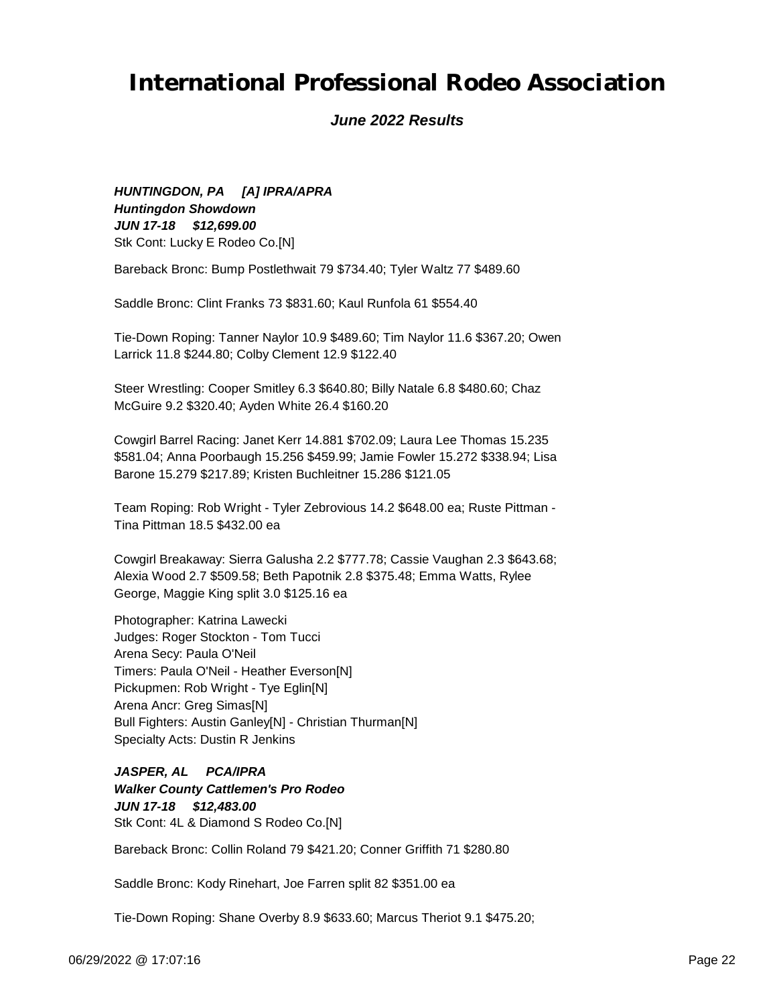#### *June 2022 Results*

*JUN 17-18 \$12,699.00 HUNTINGDON, PA [A] IPRA/APRA Huntingdon Showdown* Stk Cont: Lucky E Rodeo Co.[N]

Bareback Bronc: Bump Postlethwait 79 \$734.40; Tyler Waltz 77 \$489.60

Saddle Bronc: Clint Franks 73 \$831.60; Kaul Runfola 61 \$554.40

Tie-Down Roping: Tanner Naylor 10.9 \$489.60; Tim Naylor 11.6 \$367.20; Owen Larrick 11.8 \$244.80; Colby Clement 12.9 \$122.40

Steer Wrestling: Cooper Smitley 6.3 \$640.80; Billy Natale 6.8 \$480.60; Chaz McGuire 9.2 \$320.40; Ayden White 26.4 \$160.20

Cowgirl Barrel Racing: Janet Kerr 14.881 \$702.09; Laura Lee Thomas 15.235 \$581.04; Anna Poorbaugh 15.256 \$459.99; Jamie Fowler 15.272 \$338.94; Lisa Barone 15.279 \$217.89; Kristen Buchleitner 15.286 \$121.05

Team Roping: Rob Wright - Tyler Zebrovious 14.2 \$648.00 ea; Ruste Pittman - Tina Pittman 18.5 \$432.00 ea

Cowgirl Breakaway: Sierra Galusha 2.2 \$777.78; Cassie Vaughan 2.3 \$643.68; Alexia Wood 2.7 \$509.58; Beth Papotnik 2.8 \$375.48; Emma Watts, Rylee George, Maggie King split 3.0 \$125.16 ea

Photographer: Katrina Lawecki Judges: Roger Stockton - Tom Tucci Arena Secy: Paula O'Neil Timers: Paula O'Neil - Heather Everson[N] Pickupmen: Rob Wright - Tye Eglin[N] Arena Ancr: Greg Simas[N] Bull Fighters: Austin Ganley[N] - Christian Thurman[N] Specialty Acts: Dustin R Jenkins

*JUN 17-18 \$12,483.00 JASPER, AL PCA/IPRA Walker County Cattlemen's Pro Rodeo* Stk Cont: 4L & Diamond S Rodeo Co.[N]

Bareback Bronc: Collin Roland 79 \$421.20; Conner Griffith 71 \$280.80

Saddle Bronc: Kody Rinehart, Joe Farren split 82 \$351.00 ea

Tie-Down Roping: Shane Overby 8.9 \$633.60; Marcus Theriot 9.1 \$475.20;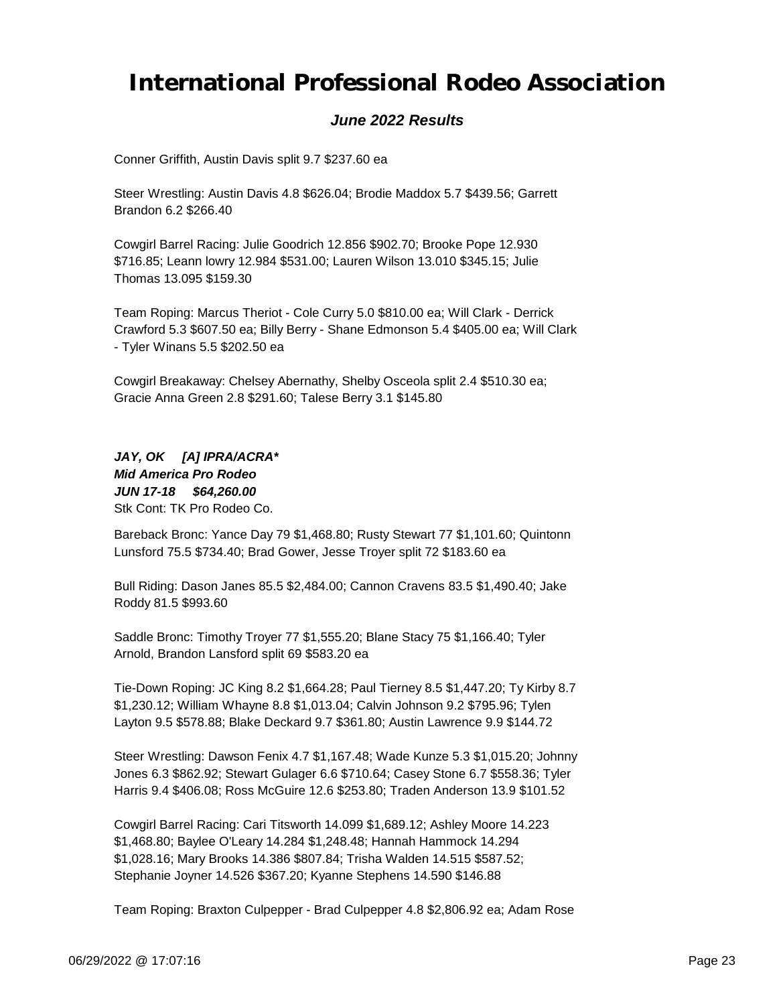#### *June 2022 Results*

Conner Griffith, Austin Davis split 9.7 \$237.60 ea

Steer Wrestling: Austin Davis 4.8 \$626.04; Brodie Maddox 5.7 \$439.56; Garrett Brandon 6.2 \$266.40

Cowgirl Barrel Racing: Julie Goodrich 12.856 \$902.70; Brooke Pope 12.930 \$716.85; Leann lowry 12.984 \$531.00; Lauren Wilson 13.010 \$345.15; Julie Thomas 13.095 \$159.30

Team Roping: Marcus Theriot - Cole Curry 5.0 \$810.00 ea; Will Clark - Derrick Crawford 5.3 \$607.50 ea; Billy Berry - Shane Edmonson 5.4 \$405.00 ea; Will Clark - Tyler Winans 5.5 \$202.50 ea

Cowgirl Breakaway: Chelsey Abernathy, Shelby Osceola split 2.4 \$510.30 ea; Gracie Anna Green 2.8 \$291.60; Talese Berry 3.1 \$145.80

*JUN 17-18 \$64,260.00 JAY, OK [A] IPRA/ACRA\* Mid America Pro Rodeo* Stk Cont: TK Pro Rodeo Co.

Bareback Bronc: Yance Day 79 \$1,468.80; Rusty Stewart 77 \$1,101.60; Quintonn Lunsford 75.5 \$734.40; Brad Gower, Jesse Troyer split 72 \$183.60 ea

Bull Riding: Dason Janes 85.5 \$2,484.00; Cannon Cravens 83.5 \$1,490.40; Jake Roddy 81.5 \$993.60

Saddle Bronc: Timothy Troyer 77 \$1,555.20; Blane Stacy 75 \$1,166.40; Tyler Arnold, Brandon Lansford split 69 \$583.20 ea

Tie-Down Roping: JC King 8.2 \$1,664.28; Paul Tierney 8.5 \$1,447.20; Ty Kirby 8.7 \$1,230.12; William Whayne 8.8 \$1,013.04; Calvin Johnson 9.2 \$795.96; Tylen Layton 9.5 \$578.88; Blake Deckard 9.7 \$361.80; Austin Lawrence 9.9 \$144.72

Steer Wrestling: Dawson Fenix 4.7 \$1,167.48; Wade Kunze 5.3 \$1,015.20; Johnny Jones 6.3 \$862.92; Stewart Gulager 6.6 \$710.64; Casey Stone 6.7 \$558.36; Tyler Harris 9.4 \$406.08; Ross McGuire 12.6 \$253.80; Traden Anderson 13.9 \$101.52

Cowgirl Barrel Racing: Cari Titsworth 14.099 \$1,689.12; Ashley Moore 14.223 \$1,468.80; Baylee O'Leary 14.284 \$1,248.48; Hannah Hammock 14.294 \$1,028.16; Mary Brooks 14.386 \$807.84; Trisha Walden 14.515 \$587.52; Stephanie Joyner 14.526 \$367.20; Kyanne Stephens 14.590 \$146.88

Team Roping: Braxton Culpepper - Brad Culpepper 4.8 \$2,806.92 ea; Adam Rose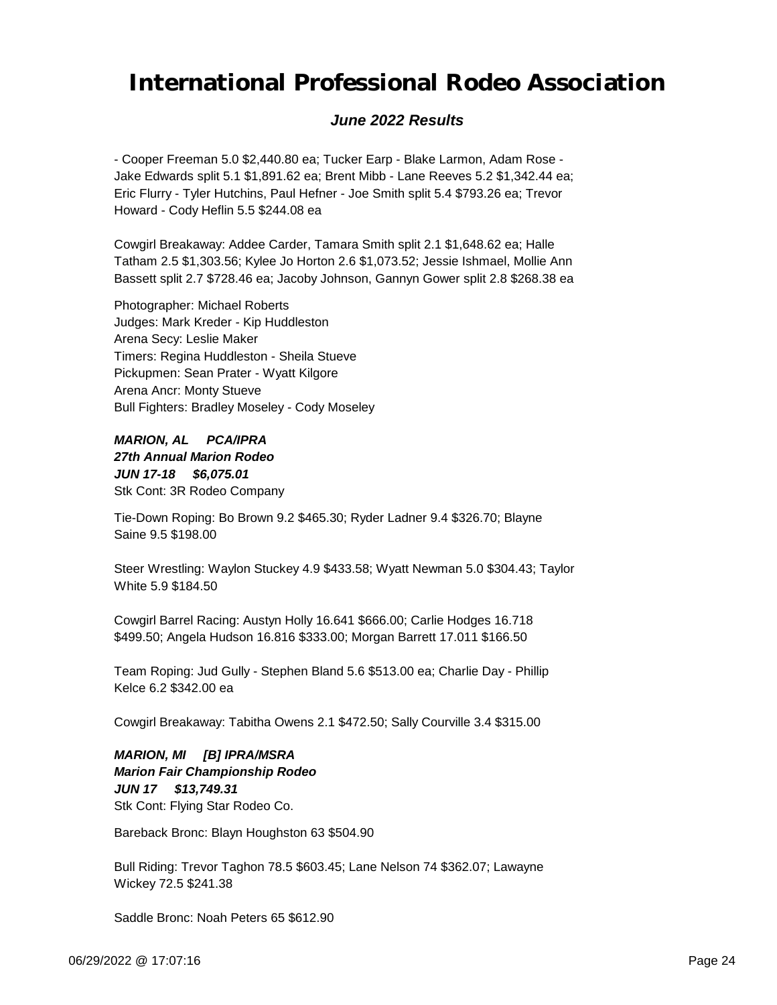### *June 2022 Results*

- Cooper Freeman 5.0 \$2,440.80 ea; Tucker Earp - Blake Larmon, Adam Rose - Jake Edwards split 5.1 \$1,891.62 ea; Brent Mibb - Lane Reeves 5.2 \$1,342.44 ea; Eric Flurry - Tyler Hutchins, Paul Hefner - Joe Smith split 5.4 \$793.26 ea; Trevor Howard - Cody Heflin 5.5 \$244.08 ea

Cowgirl Breakaway: Addee Carder, Tamara Smith split 2.1 \$1,648.62 ea; Halle Tatham 2.5 \$1,303.56; Kylee Jo Horton 2.6 \$1,073.52; Jessie Ishmael, Mollie Ann Bassett split 2.7 \$728.46 ea; Jacoby Johnson, Gannyn Gower split 2.8 \$268.38 ea

Photographer: Michael Roberts Judges: Mark Kreder - Kip Huddleston Arena Secy: Leslie Maker Timers: Regina Huddleston - Sheila Stueve Pickupmen: Sean Prater - Wyatt Kilgore Arena Ancr: Monty Stueve Bull Fighters: Bradley Moseley - Cody Moseley

*JUN 17-18 \$6,075.01 MARION, AL PCA/IPRA 27th Annual Marion Rodeo* Stk Cont: 3R Rodeo Company

Tie-Down Roping: Bo Brown 9.2 \$465.30; Ryder Ladner 9.4 \$326.70; Blayne Saine 9.5 \$198.00

Steer Wrestling: Waylon Stuckey 4.9 \$433.58; Wyatt Newman 5.0 \$304.43; Taylor White 5.9 \$184.50

Cowgirl Barrel Racing: Austyn Holly 16.641 \$666.00; Carlie Hodges 16.718 \$499.50; Angela Hudson 16.816 \$333.00; Morgan Barrett 17.011 \$166.50

Team Roping: Jud Gully - Stephen Bland 5.6 \$513.00 ea; Charlie Day - Phillip Kelce 6.2 \$342.00 ea

Cowgirl Breakaway: Tabitha Owens 2.1 \$472.50; Sally Courville 3.4 \$315.00

#### *JUN 17 \$13,749.31 MARION, MI [B] IPRA/MSRA Marion Fair Championship Rodeo* Stk Cont: Flying Star Rodeo Co.

Bareback Bronc: Blayn Houghston 63 \$504.90

Bull Riding: Trevor Taghon 78.5 \$603.45; Lane Nelson 74 \$362.07; Lawayne Wickey 72.5 \$241.38

Saddle Bronc: Noah Peters 65 \$612.90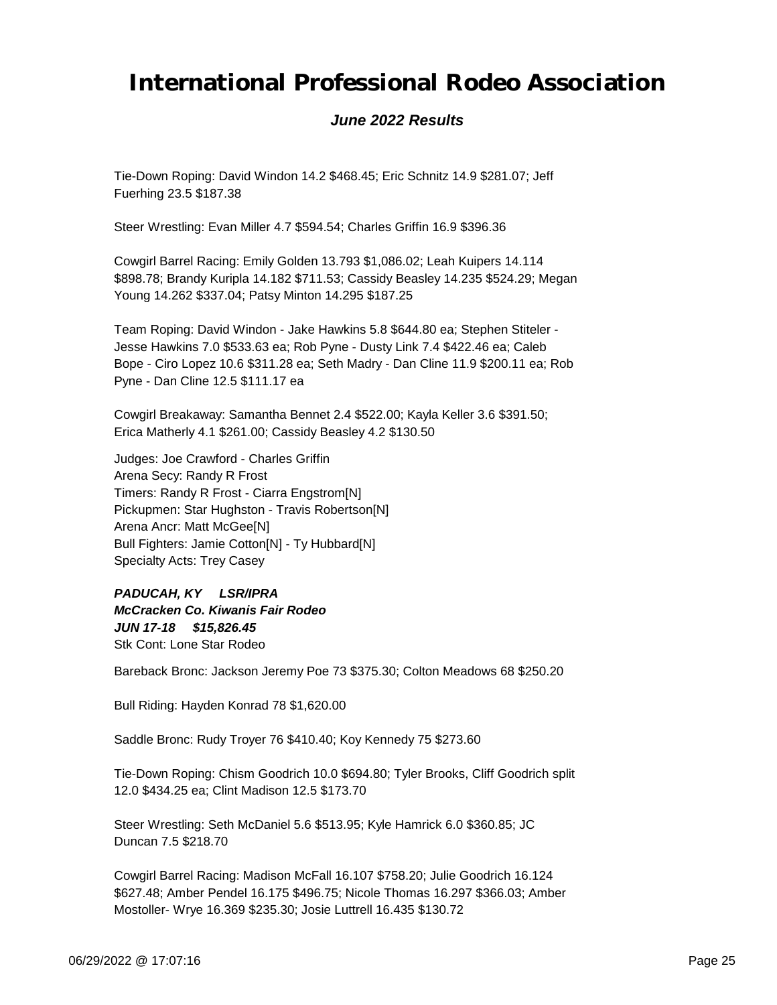### *June 2022 Results*

Tie-Down Roping: David Windon 14.2 \$468.45; Eric Schnitz 14.9 \$281.07; Jeff Fuerhing 23.5 \$187.38

Steer Wrestling: Evan Miller 4.7 \$594.54; Charles Griffin 16.9 \$396.36

Cowgirl Barrel Racing: Emily Golden 13.793 \$1,086.02; Leah Kuipers 14.114 \$898.78; Brandy Kuripla 14.182 \$711.53; Cassidy Beasley 14.235 \$524.29; Megan Young 14.262 \$337.04; Patsy Minton 14.295 \$187.25

Team Roping: David Windon - Jake Hawkins 5.8 \$644.80 ea; Stephen Stiteler - Jesse Hawkins 7.0 \$533.63 ea; Rob Pyne - Dusty Link 7.4 \$422.46 ea; Caleb Bope - Ciro Lopez 10.6 \$311.28 ea; Seth Madry - Dan Cline 11.9 \$200.11 ea; Rob Pyne - Dan Cline 12.5 \$111.17 ea

Cowgirl Breakaway: Samantha Bennet 2.4 \$522.00; Kayla Keller 3.6 \$391.50; Erica Matherly 4.1 \$261.00; Cassidy Beasley 4.2 \$130.50

Judges: Joe Crawford - Charles Griffin Arena Secy: Randy R Frost Timers: Randy R Frost - Ciarra Engstrom[N] Pickupmen: Star Hughston - Travis Robertson[N] Arena Ancr: Matt McGee[N] Bull Fighters: Jamie Cotton[N] - Ty Hubbard[N] Specialty Acts: Trey Casey

*JUN 17-18 \$15,826.45 PADUCAH, KY LSR/IPRA McCracken Co. Kiwanis Fair Rodeo* Stk Cont: Lone Star Rodeo

Bareback Bronc: Jackson Jeremy Poe 73 \$375.30; Colton Meadows 68 \$250.20

Bull Riding: Hayden Konrad 78 \$1,620.00

Saddle Bronc: Rudy Troyer 76 \$410.40; Koy Kennedy 75 \$273.60

Tie-Down Roping: Chism Goodrich 10.0 \$694.80; Tyler Brooks, Cliff Goodrich split 12.0 \$434.25 ea; Clint Madison 12.5 \$173.70

Steer Wrestling: Seth McDaniel 5.6 \$513.95; Kyle Hamrick 6.0 \$360.85; JC Duncan 7.5 \$218.70

Cowgirl Barrel Racing: Madison McFall 16.107 \$758.20; Julie Goodrich 16.124 \$627.48; Amber Pendel 16.175 \$496.75; Nicole Thomas 16.297 \$366.03; Amber Mostoller- Wrye 16.369 \$235.30; Josie Luttrell 16.435 \$130.72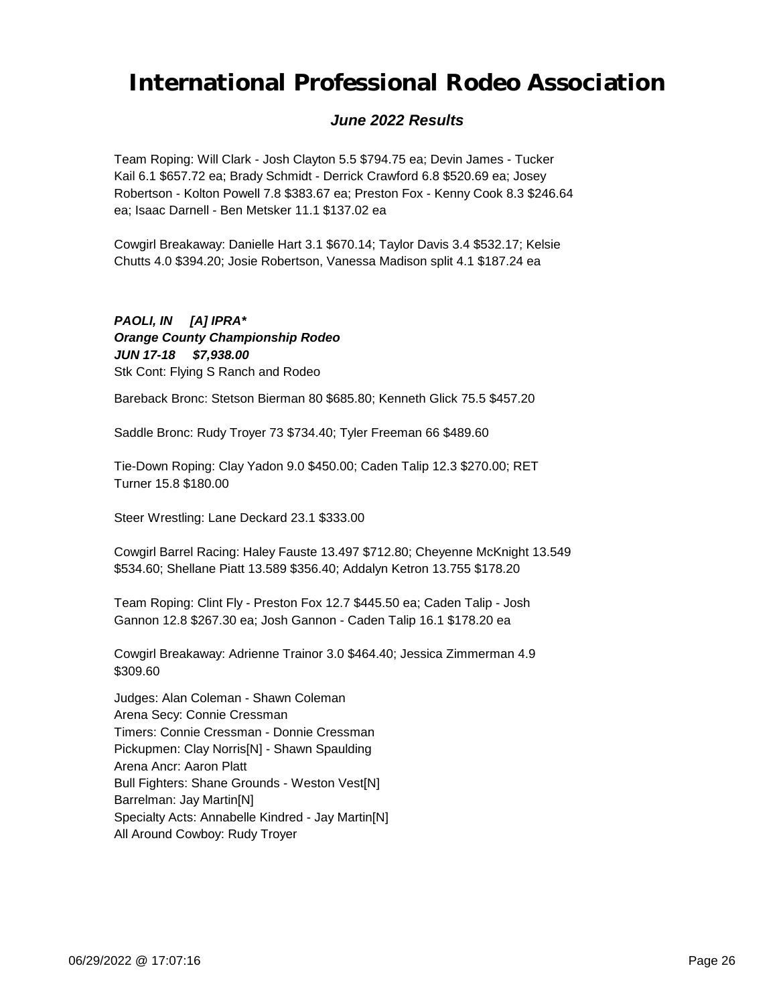### *June 2022 Results*

Team Roping: Will Clark - Josh Clayton 5.5 \$794.75 ea; Devin James - Tucker Kail 6.1 \$657.72 ea; Brady Schmidt - Derrick Crawford 6.8 \$520.69 ea; Josey Robertson - Kolton Powell 7.8 \$383.67 ea; Preston Fox - Kenny Cook 8.3 \$246.64 ea; Isaac Darnell - Ben Metsker 11.1 \$137.02 ea

Cowgirl Breakaway: Danielle Hart 3.1 \$670.14; Taylor Davis 3.4 \$532.17; Kelsie Chutts 4.0 \$394.20; Josie Robertson, Vanessa Madison split 4.1 \$187.24 ea

*JUN 17-18 \$7,938.00 PAOLI, IN [A] IPRA\* Orange County Championship Rodeo* Stk Cont: Flying S Ranch and Rodeo

Bareback Bronc: Stetson Bierman 80 \$685.80; Kenneth Glick 75.5 \$457.20

Saddle Bronc: Rudy Troyer 73 \$734.40; Tyler Freeman 66 \$489.60

Tie-Down Roping: Clay Yadon 9.0 \$450.00; Caden Talip 12.3 \$270.00; RET Turner 15.8 \$180.00

Steer Wrestling: Lane Deckard 23.1 \$333.00

Cowgirl Barrel Racing: Haley Fauste 13.497 \$712.80; Cheyenne McKnight 13.549 \$534.60; Shellane Piatt 13.589 \$356.40; Addalyn Ketron 13.755 \$178.20

Team Roping: Clint Fly - Preston Fox 12.7 \$445.50 ea; Caden Talip - Josh Gannon 12.8 \$267.30 ea; Josh Gannon - Caden Talip 16.1 \$178.20 ea

Cowgirl Breakaway: Adrienne Trainor 3.0 \$464.40; Jessica Zimmerman 4.9 \$309.60

Judges: Alan Coleman - Shawn Coleman Arena Secy: Connie Cressman Timers: Connie Cressman - Donnie Cressman Pickupmen: Clay Norris[N] - Shawn Spaulding Arena Ancr: Aaron Platt Bull Fighters: Shane Grounds - Weston Vest[N] Barrelman: Jay Martin[N] Specialty Acts: Annabelle Kindred - Jay Martin[N] All Around Cowboy: Rudy Troyer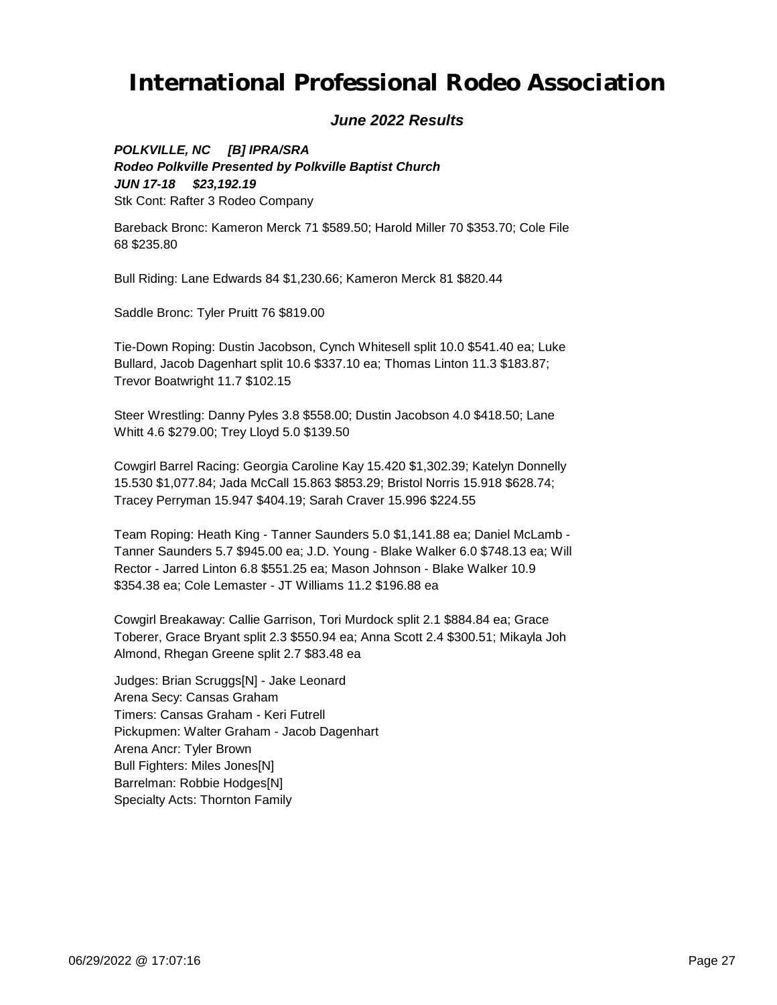### *June 2022 Results*

*JUN 17-18 \$23,192.19 POLKVILLE, NC [B] IPRA/SRA Rodeo Polkville Presented by Polkville Baptist Church* Stk Cont: Rafter 3 Rodeo Company

Bareback Bronc: Kameron Merck 71 \$589.50; Harold Miller 70 \$353.70; Cole File 68 \$235.80

Bull Riding: Lane Edwards 84 \$1,230.66; Kameron Merck 81 \$820.44

Saddle Bronc: Tyler Pruitt 76 \$819.00

Tie-Down Roping: Dustin Jacobson, Cynch Whitesell split 10.0 \$541.40 ea; Luke Bullard, Jacob Dagenhart split 10.6 \$337.10 ea; Thomas Linton 11.3 \$183.87; Trevor Boatwright 11.7 \$102.15

Steer Wrestling: Danny Pyles 3.8 \$558.00; Dustin Jacobson 4.0 \$418.50; Lane Whitt 4.6 \$279.00; Trey Lloyd 5.0 \$139.50

Cowgirl Barrel Racing: Georgia Caroline Kay 15.420 \$1,302.39; Katelyn Donnelly 15.530 \$1,077.84; Jada McCall 15.863 \$853.29; Bristol Norris 15.918 \$628.74; Tracey Perryman 15.947 \$404.19; Sarah Craver 15.996 \$224.55

Team Roping: Heath King - Tanner Saunders 5.0 \$1,141.88 ea; Daniel McLamb - Tanner Saunders 5.7 \$945.00 ea; J.D. Young - Blake Walker 6.0 \$748.13 ea; Will Rector - Jarred Linton 6.8 \$551.25 ea; Mason Johnson - Blake Walker 10.9 \$354.38 ea; Cole Lemaster - JT Williams 11.2 \$196.88 ea

Cowgirl Breakaway: Callie Garrison, Tori Murdock split 2.1 \$884.84 ea; Grace Toberer, Grace Bryant split 2.3 \$550.94 ea; Anna Scott 2.4 \$300.51; Mikayla Joh Almond, Rhegan Greene split 2.7 \$83.48 ea

Judges: Brian Scruggs[N] - Jake Leonard Arena Secy: Cansas Graham Timers: Cansas Graham - Keri Futrell Pickupmen: Walter Graham - Jacob Dagenhart Arena Ancr: Tyler Brown Bull Fighters: Miles Jones[N] Barrelman: Robbie Hodges[N] Specialty Acts: Thornton Family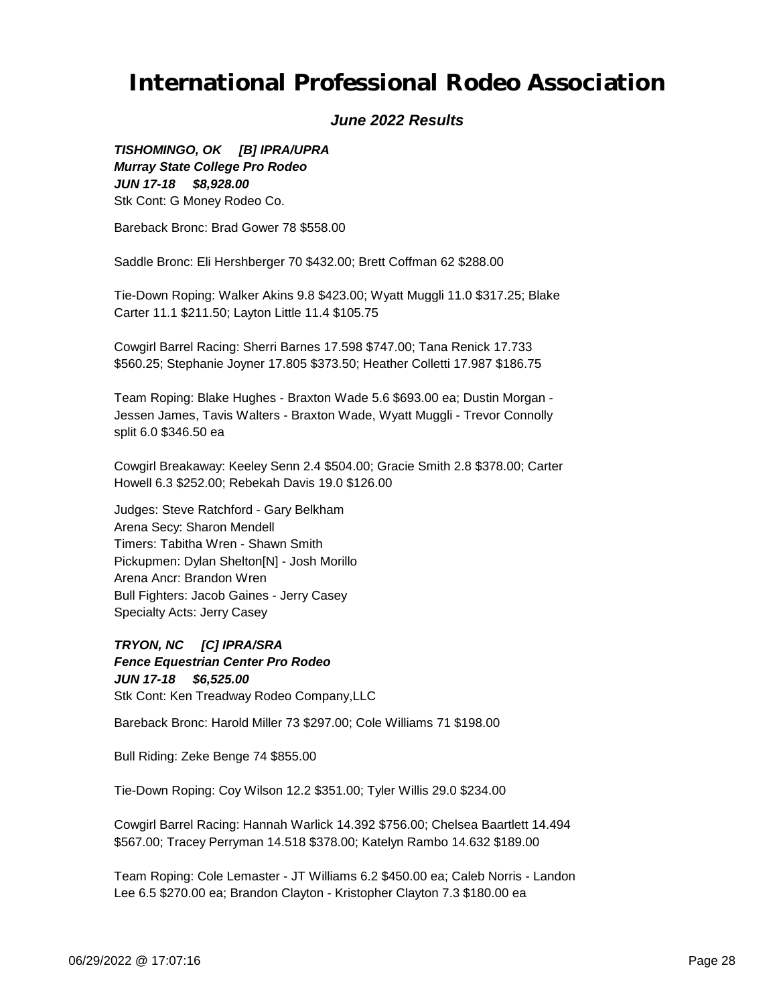### *June 2022 Results*

*JUN 17-18 \$8,928.00 TISHOMINGO, OK [B] IPRA/UPRA Murray State College Pro Rodeo* Stk Cont: G Money Rodeo Co.

Bareback Bronc: Brad Gower 78 \$558.00

Saddle Bronc: Eli Hershberger 70 \$432.00; Brett Coffman 62 \$288.00

Tie-Down Roping: Walker Akins 9.8 \$423.00; Wyatt Muggli 11.0 \$317.25; Blake Carter 11.1 \$211.50; Layton Little 11.4 \$105.75

Cowgirl Barrel Racing: Sherri Barnes 17.598 \$747.00; Tana Renick 17.733 \$560.25; Stephanie Joyner 17.805 \$373.50; Heather Colletti 17.987 \$186.75

Team Roping: Blake Hughes - Braxton Wade 5.6 \$693.00 ea; Dustin Morgan - Jessen James, Tavis Walters - Braxton Wade, Wyatt Muggli - Trevor Connolly split 6.0 \$346.50 ea

Cowgirl Breakaway: Keeley Senn 2.4 \$504.00; Gracie Smith 2.8 \$378.00; Carter Howell 6.3 \$252.00; Rebekah Davis 19.0 \$126.00

Judges: Steve Ratchford - Gary Belkham Arena Secy: Sharon Mendell Timers: Tabitha Wren - Shawn Smith Pickupmen: Dylan Shelton[N] - Josh Morillo Arena Ancr: Brandon Wren Bull Fighters: Jacob Gaines - Jerry Casey Specialty Acts: Jerry Casey

*JUN 17-18 \$6,525.00 TRYON, NC [C] IPRA/SRA Fence Equestrian Center Pro Rodeo* Stk Cont: Ken Treadway Rodeo Company,LLC

Bareback Bronc: Harold Miller 73 \$297.00; Cole Williams 71 \$198.00

Bull Riding: Zeke Benge 74 \$855.00

Tie-Down Roping: Coy Wilson 12.2 \$351.00; Tyler Willis 29.0 \$234.00

Cowgirl Barrel Racing: Hannah Warlick 14.392 \$756.00; Chelsea Baartlett 14.494 \$567.00; Tracey Perryman 14.518 \$378.00; Katelyn Rambo 14.632 \$189.00

Team Roping: Cole Lemaster - JT Williams 6.2 \$450.00 ea; Caleb Norris - Landon Lee 6.5 \$270.00 ea; Brandon Clayton - Kristopher Clayton 7.3 \$180.00 ea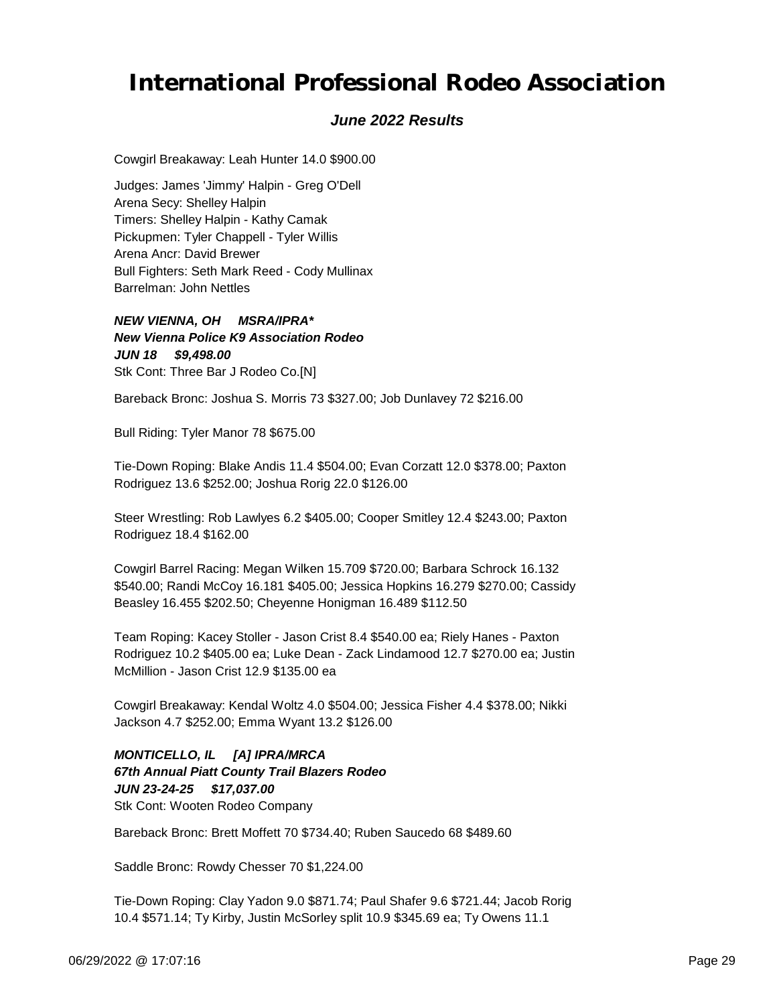### *June 2022 Results*

Cowgirl Breakaway: Leah Hunter 14.0 \$900.00

Judges: James 'Jimmy' Halpin - Greg O'Dell Arena Secy: Shelley Halpin Timers: Shelley Halpin - Kathy Camak Pickupmen: Tyler Chappell - Tyler Willis Arena Ancr: David Brewer Bull Fighters: Seth Mark Reed - Cody Mullinax Barrelman: John Nettles

*JUN 18 \$9,498.00 NEW VIENNA, OH MSRA/IPRA\* New Vienna Police K9 Association Rodeo* Stk Cont: Three Bar J Rodeo Co.[N]

Bareback Bronc: Joshua S. Morris 73 \$327.00; Job Dunlavey 72 \$216.00

Bull Riding: Tyler Manor 78 \$675.00

Tie-Down Roping: Blake Andis 11.4 \$504.00; Evan Corzatt 12.0 \$378.00; Paxton Rodriguez 13.6 \$252.00; Joshua Rorig 22.0 \$126.00

Steer Wrestling: Rob Lawlyes 6.2 \$405.00; Cooper Smitley 12.4 \$243.00; Paxton Rodriguez 18.4 \$162.00

Cowgirl Barrel Racing: Megan Wilken 15.709 \$720.00; Barbara Schrock 16.132 \$540.00; Randi McCoy 16.181 \$405.00; Jessica Hopkins 16.279 \$270.00; Cassidy Beasley 16.455 \$202.50; Cheyenne Honigman 16.489 \$112.50

Team Roping: Kacey Stoller - Jason Crist 8.4 \$540.00 ea; Riely Hanes - Paxton Rodriguez 10.2 \$405.00 ea; Luke Dean - Zack Lindamood 12.7 \$270.00 ea; Justin McMillion - Jason Crist 12.9 \$135.00 ea

Cowgirl Breakaway: Kendal Woltz 4.0 \$504.00; Jessica Fisher 4.4 \$378.00; Nikki Jackson 4.7 \$252.00; Emma Wyant 13.2 \$126.00

*JUN 23-24-25 \$17,037.00 MONTICELLO, IL [A] IPRA/MRCA 67th Annual Piatt County Trail Blazers Rodeo* Stk Cont: Wooten Rodeo Company

Bareback Bronc: Brett Moffett 70 \$734.40; Ruben Saucedo 68 \$489.60

Saddle Bronc: Rowdy Chesser 70 \$1,224.00

Tie-Down Roping: Clay Yadon 9.0 \$871.74; Paul Shafer 9.6 \$721.44; Jacob Rorig 10.4 \$571.14; Ty Kirby, Justin McSorley split 10.9 \$345.69 ea; Ty Owens 11.1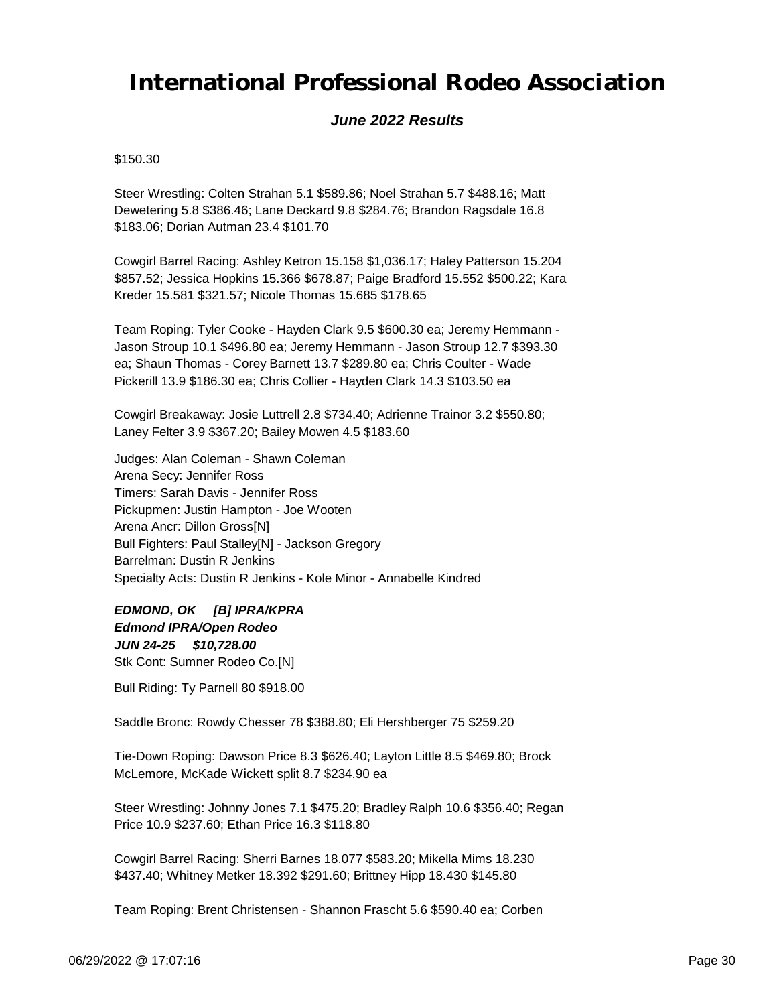### *June 2022 Results*

#### \$150.30

Steer Wrestling: Colten Strahan 5.1 \$589.86; Noel Strahan 5.7 \$488.16; Matt Dewetering 5.8 \$386.46; Lane Deckard 9.8 \$284.76; Brandon Ragsdale 16.8 \$183.06; Dorian Autman 23.4 \$101.70

Cowgirl Barrel Racing: Ashley Ketron 15.158 \$1,036.17; Haley Patterson 15.204 \$857.52; Jessica Hopkins 15.366 \$678.87; Paige Bradford 15.552 \$500.22; Kara Kreder 15.581 \$321.57; Nicole Thomas 15.685 \$178.65

Team Roping: Tyler Cooke - Hayden Clark 9.5 \$600.30 ea; Jeremy Hemmann - Jason Stroup 10.1 \$496.80 ea; Jeremy Hemmann - Jason Stroup 12.7 \$393.30 ea; Shaun Thomas - Corey Barnett 13.7 \$289.80 ea; Chris Coulter - Wade Pickerill 13.9 \$186.30 ea; Chris Collier - Hayden Clark 14.3 \$103.50 ea

Cowgirl Breakaway: Josie Luttrell 2.8 \$734.40; Adrienne Trainor 3.2 \$550.80; Laney Felter 3.9 \$367.20; Bailey Mowen 4.5 \$183.60

Judges: Alan Coleman - Shawn Coleman Arena Secy: Jennifer Ross Timers: Sarah Davis - Jennifer Ross Pickupmen: Justin Hampton - Joe Wooten Arena Ancr: Dillon Gross[N] Bull Fighters: Paul Stalley[N] - Jackson Gregory Barrelman: Dustin R Jenkins Specialty Acts: Dustin R Jenkins - Kole Minor - Annabelle Kindred

*JUN 24-25 \$10,728.00 EDMOND, OK [B] IPRA/KPRA Edmond IPRA/Open Rodeo* Stk Cont: Sumner Rodeo Co.[N]

Bull Riding: Ty Parnell 80 \$918.00

Saddle Bronc: Rowdy Chesser 78 \$388.80; Eli Hershberger 75 \$259.20

Tie-Down Roping: Dawson Price 8.3 \$626.40; Layton Little 8.5 \$469.80; Brock McLemore, McKade Wickett split 8.7 \$234.90 ea

Steer Wrestling: Johnny Jones 7.1 \$475.20; Bradley Ralph 10.6 \$356.40; Regan Price 10.9 \$237.60; Ethan Price 16.3 \$118.80

Cowgirl Barrel Racing: Sherri Barnes 18.077 \$583.20; Mikella Mims 18.230 \$437.40; Whitney Metker 18.392 \$291.60; Brittney Hipp 18.430 \$145.80

Team Roping: Brent Christensen - Shannon Frascht 5.6 \$590.40 ea; Corben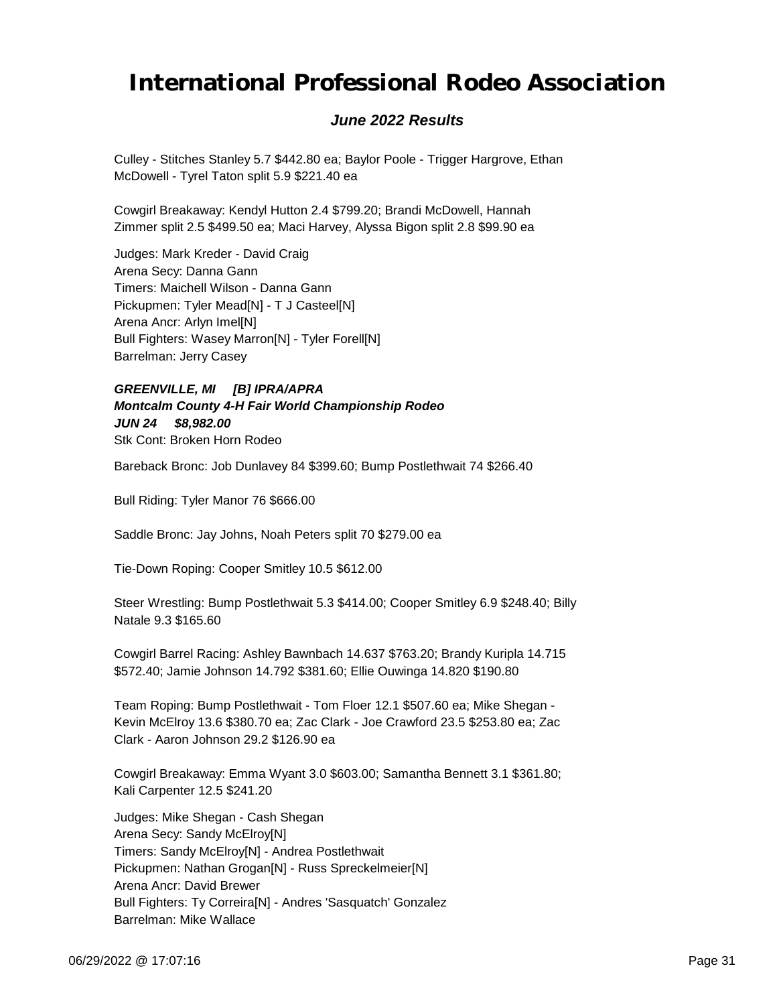### *June 2022 Results*

Culley - Stitches Stanley 5.7 \$442.80 ea; Baylor Poole - Trigger Hargrove, Ethan McDowell - Tyrel Taton split 5.9 \$221.40 ea

Cowgirl Breakaway: Kendyl Hutton 2.4 \$799.20; Brandi McDowell, Hannah Zimmer split 2.5 \$499.50 ea; Maci Harvey, Alyssa Bigon split 2.8 \$99.90 ea

Judges: Mark Kreder - David Craig Arena Secy: Danna Gann Timers: Maichell Wilson - Danna Gann Pickupmen: Tyler Mead[N] - T J Casteel[N] Arena Ancr: Arlyn Imel[N] Bull Fighters: Wasey Marron[N] - Tyler Forell[N] Barrelman: Jerry Casey

#### *JUN 24 \$8,982.00 GREENVILLE, MI [B] IPRA/APRA Montcalm County 4-H Fair World Championship Rodeo* Stk Cont: Broken Horn Rodeo

Bareback Bronc: Job Dunlavey 84 \$399.60; Bump Postlethwait 74 \$266.40

Bull Riding: Tyler Manor 76 \$666.00

Saddle Bronc: Jay Johns, Noah Peters split 70 \$279.00 ea

Tie-Down Roping: Cooper Smitley 10.5 \$612.00

Steer Wrestling: Bump Postlethwait 5.3 \$414.00; Cooper Smitley 6.9 \$248.40; Billy Natale 9.3 \$165.60

Cowgirl Barrel Racing: Ashley Bawnbach 14.637 \$763.20; Brandy Kuripla 14.715 \$572.40; Jamie Johnson 14.792 \$381.60; Ellie Ouwinga 14.820 \$190.80

Team Roping: Bump Postlethwait - Tom Floer 12.1 \$507.60 ea; Mike Shegan - Kevin McElroy 13.6 \$380.70 ea; Zac Clark - Joe Crawford 23.5 \$253.80 ea; Zac Clark - Aaron Johnson 29.2 \$126.90 ea

Cowgirl Breakaway: Emma Wyant 3.0 \$603.00; Samantha Bennett 3.1 \$361.80; Kali Carpenter 12.5 \$241.20

Judges: Mike Shegan - Cash Shegan Arena Secy: Sandy McElroy[N] Timers: Sandy McElroy[N] - Andrea Postlethwait Pickupmen: Nathan Grogan[N] - Russ Spreckelmeier[N] Arena Ancr: David Brewer Bull Fighters: Ty Correira[N] - Andres 'Sasquatch' Gonzalez Barrelman: Mike Wallace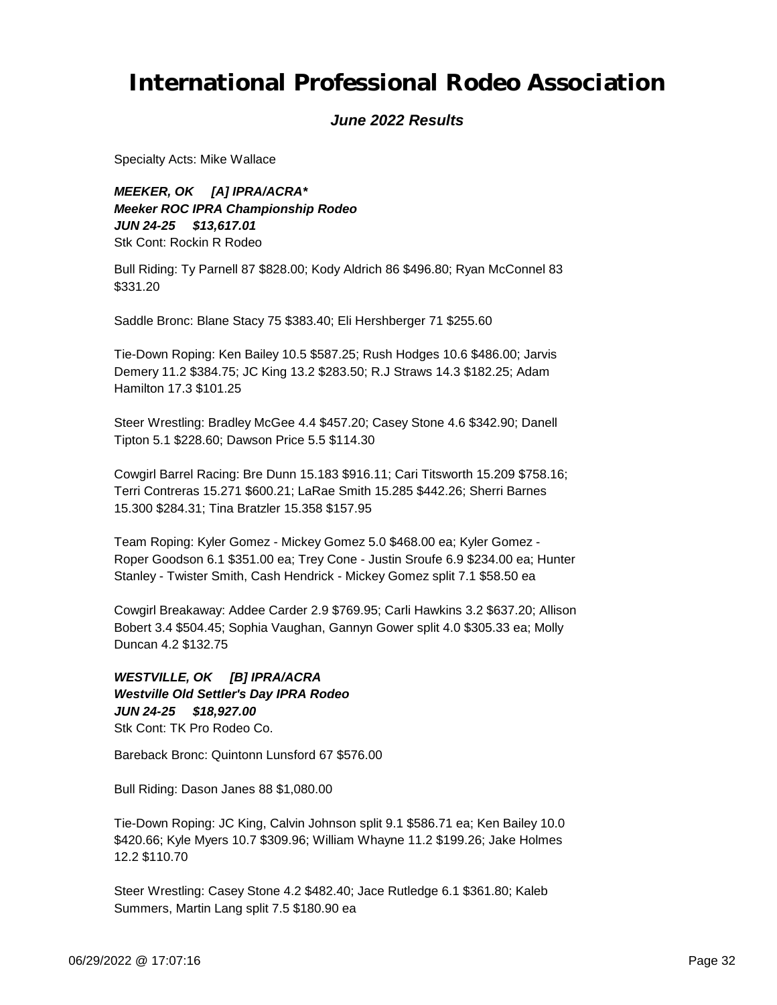#### *June 2022 Results*

Specialty Acts: Mike Wallace

*JUN 24-25 \$13,617.01 MEEKER, OK [A] IPRA/ACRA\* Meeker ROC IPRA Championship Rodeo* Stk Cont: Rockin R Rodeo

Bull Riding: Ty Parnell 87 \$828.00; Kody Aldrich 86 \$496.80; Ryan McConnel 83 \$331.20

Saddle Bronc: Blane Stacy 75 \$383.40; Eli Hershberger 71 \$255.60

Tie-Down Roping: Ken Bailey 10.5 \$587.25; Rush Hodges 10.6 \$486.00; Jarvis Demery 11.2 \$384.75; JC King 13.2 \$283.50; R.J Straws 14.3 \$182.25; Adam Hamilton 17.3 \$101.25

Steer Wrestling: Bradley McGee 4.4 \$457.20; Casey Stone 4.6 \$342.90; Danell Tipton 5.1 \$228.60; Dawson Price 5.5 \$114.30

Cowgirl Barrel Racing: Bre Dunn 15.183 \$916.11; Cari Titsworth 15.209 \$758.16; Terri Contreras 15.271 \$600.21; LaRae Smith 15.285 \$442.26; Sherri Barnes 15.300 \$284.31; Tina Bratzler 15.358 \$157.95

Team Roping: Kyler Gomez - Mickey Gomez 5.0 \$468.00 ea; Kyler Gomez - Roper Goodson 6.1 \$351.00 ea; Trey Cone - Justin Sroufe 6.9 \$234.00 ea; Hunter Stanley - Twister Smith, Cash Hendrick - Mickey Gomez split 7.1 \$58.50 ea

Cowgirl Breakaway: Addee Carder 2.9 \$769.95; Carli Hawkins 3.2 \$637.20; Allison Bobert 3.4 \$504.45; Sophia Vaughan, Gannyn Gower split 4.0 \$305.33 ea; Molly Duncan 4.2 \$132.75

*JUN 24-25 \$18,927.00 WESTVILLE, OK [B] IPRA/ACRA Westville Old Settler's Day IPRA Rodeo* Stk Cont: TK Pro Rodeo Co.

Bareback Bronc: Quintonn Lunsford 67 \$576.00

Bull Riding: Dason Janes 88 \$1,080.00

Tie-Down Roping: JC King, Calvin Johnson split 9.1 \$586.71 ea; Ken Bailey 10.0 \$420.66; Kyle Myers 10.7 \$309.96; William Whayne 11.2 \$199.26; Jake Holmes 12.2 \$110.70

Steer Wrestling: Casey Stone 4.2 \$482.40; Jace Rutledge 6.1 \$361.80; Kaleb Summers, Martin Lang split 7.5 \$180.90 ea